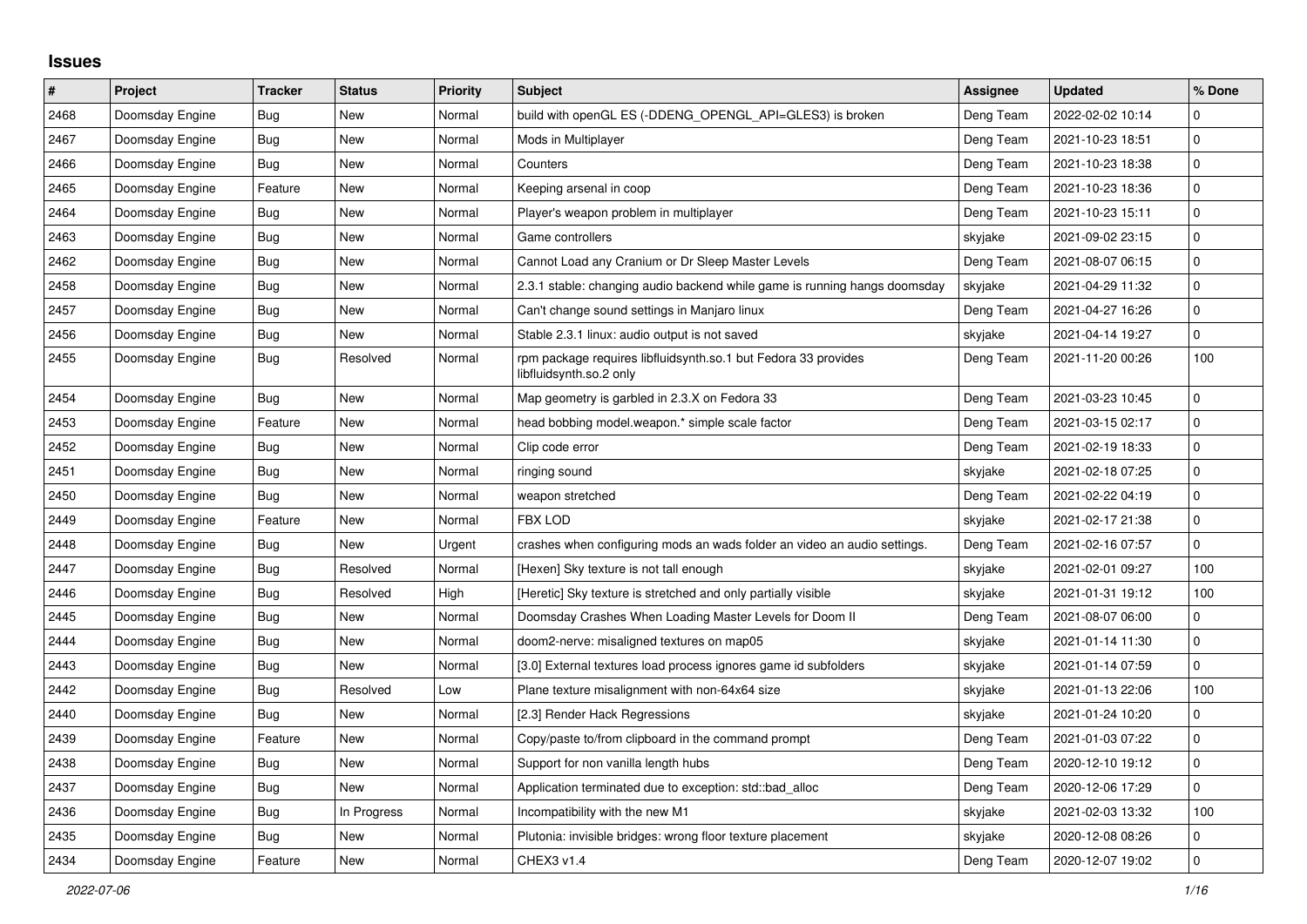## **Issues**

| $\sharp$ | <b>Project</b>  | <b>Tracker</b> | <b>Status</b> | <b>Priority</b> | <b>Subject</b>                                                                            | <b>Assignee</b> | <b>Updated</b>   | % Done       |
|----------|-----------------|----------------|---------------|-----------------|-------------------------------------------------------------------------------------------|-----------------|------------------|--------------|
| 2468     | Doomsday Engine | <b>Bug</b>     | <b>New</b>    | Normal          | build with openGL ES (-DDENG_OPENGL_API=GLES3) is broken                                  | Deng Team       | 2022-02-02 10:14 | $\Omega$     |
| 2467     | Doomsday Engine | <b>Bug</b>     | <b>New</b>    | Normal          | Mods in Multiplayer                                                                       | Deng Team       | 2021-10-23 18:51 | $\mathbf{0}$ |
| 2466     | Doomsday Engine | Bug            | <b>New</b>    | Normal          | Counters                                                                                  | Deng Team       | 2021-10-23 18:38 | $\pmb{0}$    |
| 2465     | Doomsday Engine | Feature        | <b>New</b>    | Normal          | Keeping arsenal in coop                                                                   | Deng Team       | 2021-10-23 18:36 | $\pmb{0}$    |
| 2464     | Doomsday Engine | Bug            | <b>New</b>    | Normal          | Player's weapon problem in multiplayer                                                    | Deng Team       | 2021-10-23 15:11 | $\pmb{0}$    |
| 2463     | Doomsday Engine | Bug            | <b>New</b>    | Normal          | Game controllers                                                                          | skyjake         | 2021-09-02 23:15 | 0            |
| 2462     | Doomsday Engine | Bug            | <b>New</b>    | Normal          | Cannot Load any Cranium or Dr Sleep Master Levels                                         | Deng Team       | 2021-08-07 06:15 | 0            |
| 2458     | Doomsday Engine | Bug            | <b>New</b>    | Normal          | 2.3.1 stable: changing audio backend while game is running hangs doomsday                 | skyjake         | 2021-04-29 11:32 | $\pmb{0}$    |
| 2457     | Doomsday Engine | Bug            | <b>New</b>    | Normal          | Can't change sound settings in Manjaro linux                                              | Deng Team       | 2021-04-27 16:26 | $\pmb{0}$    |
| 2456     | Doomsday Engine | Bug            | New           | Normal          | Stable 2.3.1 linux: audio output is not saved                                             | skyjake         | 2021-04-14 19:27 | $\pmb{0}$    |
| 2455     | Doomsday Engine | Bug            | Resolved      | Normal          | rpm package requires libfluidsynth.so.1 but Fedora 33 provides<br>libfluidsynth.so.2 only | Deng Team       | 2021-11-20 00:26 | 100          |
| 2454     | Doomsday Engine | <b>Bug</b>     | New           | Normal          | Map geometry is garbled in 2.3.X on Fedora 33                                             | Deng Team       | 2021-03-23 10:45 | $\pmb{0}$    |
| 2453     | Doomsday Engine | Feature        | New           | Normal          | head bobbing model.weapon.* simple scale factor                                           | Deng Team       | 2021-03-15 02:17 | $\pmb{0}$    |
| 2452     | Doomsday Engine | Bug            | New           | Normal          | Clip code error                                                                           | Deng Team       | 2021-02-19 18:33 | $\pmb{0}$    |
| 2451     | Doomsday Engine | <b>Bug</b>     | New           | Normal          | ringing sound                                                                             | skyjake         | 2021-02-18 07:25 | $\pmb{0}$    |
| 2450     | Doomsday Engine | <b>Bug</b>     | New           | Normal          | weapon stretched                                                                          | Deng Team       | 2021-02-22 04:19 | 0            |
| 2449     | Doomsday Engine | Feature        | New           | Normal          | FBX LOD                                                                                   | skyjake         | 2021-02-17 21:38 | $\pmb{0}$    |
| 2448     | Doomsday Engine | Bug            | New           | Urgent          | crashes when configuring mods an wads folder an video an audio settings.                  | Deng Team       | 2021-02-16 07:57 | $\pmb{0}$    |
| 2447     | Doomsday Engine | Bug            | Resolved      | Normal          | [Hexen] Sky texture is not tall enough                                                    | skyjake         | 2021-02-01 09:27 | 100          |
| 2446     | Doomsday Engine | Bug            | Resolved      | High            | [Heretic] Sky texture is stretched and only partially visible                             | skyjake         | 2021-01-31 19:12 | 100          |
| 2445     | Doomsday Engine | Bug            | New           | Normal          | Doomsday Crashes When Loading Master Levels for Doom II                                   | Deng Team       | 2021-08-07 06:00 | $\pmb{0}$    |
| 2444     | Doomsday Engine | Bug            | New           | Normal          | doom2-nerve: misaligned textures on map05                                                 | skyjake         | 2021-01-14 11:30 | $\pmb{0}$    |
| 2443     | Doomsday Engine | <b>Bug</b>     | New           | Normal          | [3.0] External textures load process ignores game id subfolders                           | skyjake         | 2021-01-14 07:59 | $\pmb{0}$    |
| 2442     | Doomsday Engine | Bug            | Resolved      | Low             | Plane texture misalignment with non-64x64 size                                            | skyjake         | 2021-01-13 22:06 | 100          |
| 2440     | Doomsday Engine | Bug            | New           | Normal          | [2.3] Render Hack Regressions                                                             | skyjake         | 2021-01-24 10:20 | 0            |
| 2439     | Doomsday Engine | Feature        | New           | Normal          | Copy/paste to/from clipboard in the command prompt                                        | Deng Team       | 2021-01-03 07:22 | 0            |
| 2438     | Doomsday Engine | Bug            | <b>New</b>    | Normal          | Support for non vanilla length hubs                                                       | Deng Team       | 2020-12-10 19:12 | $\pmb{0}$    |
| 2437     | Doomsday Engine | Bug            | New           | Normal          | Application terminated due to exception: std::bad_alloc                                   | Deng Team       | 2020-12-06 17:29 | $\pmb{0}$    |
| 2436     | Doomsday Engine | Bug            | In Progress   | Normal          | Incompatibility with the new M1                                                           | skyjake         | 2021-02-03 13:32 | 100          |
| 2435     | Doomsday Engine | <b>Bug</b>     | <b>New</b>    | Normal          | Plutonia: invisible bridges: wrong floor texture placement                                | skyjake         | 2020-12-08 08:26 | $\pmb{0}$    |
| 2434     | Doomsday Engine | Feature        | New           | Normal          | CHEX3 v1.4                                                                                | Deng Team       | 2020-12-07 19:02 | $\pmb{0}$    |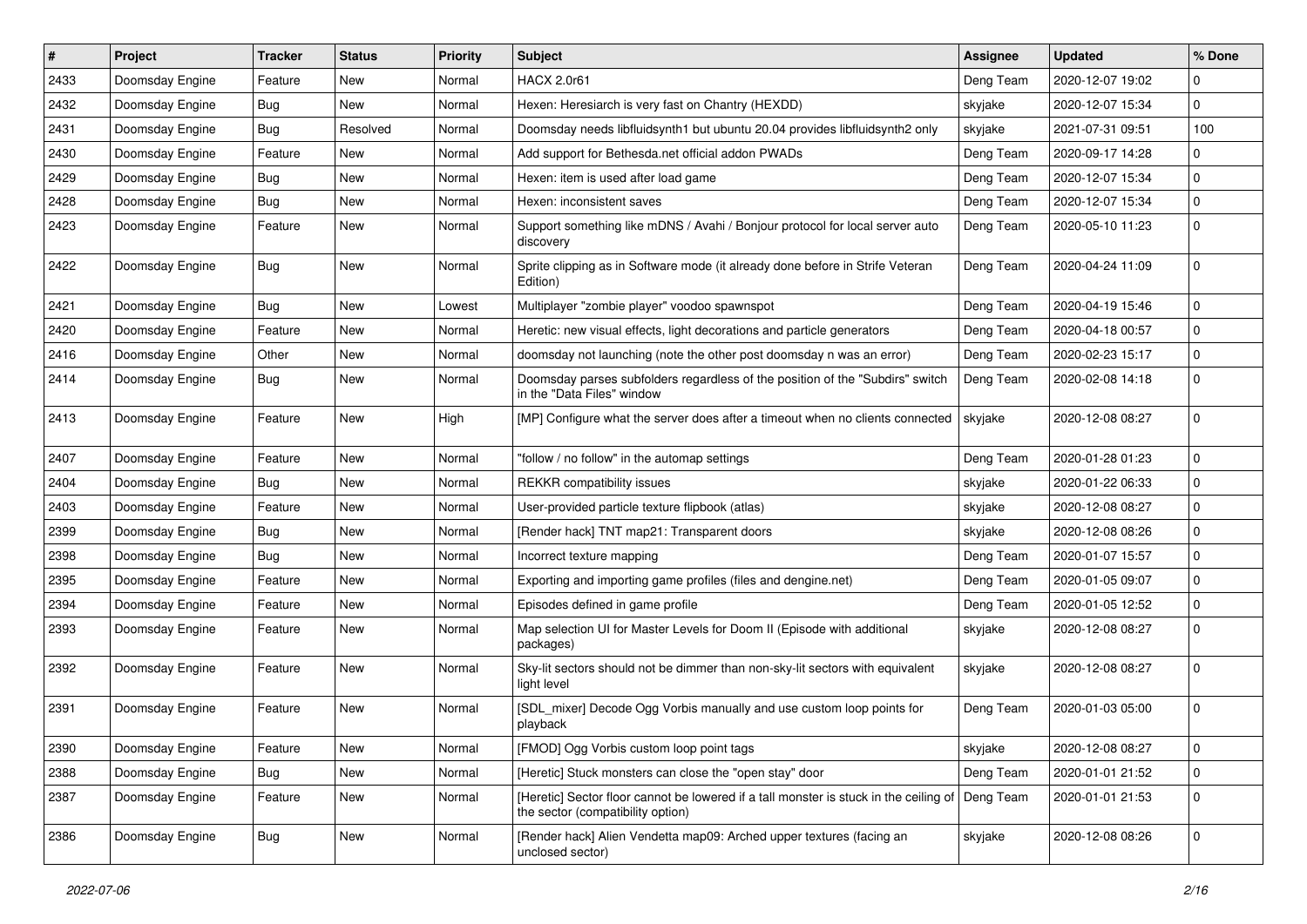| #    | Project         | <b>Tracker</b> | <b>Status</b> | <b>Priority</b> | <b>Subject</b>                                                                                                             | Assignee  | <b>Updated</b>   | % Done      |
|------|-----------------|----------------|---------------|-----------------|----------------------------------------------------------------------------------------------------------------------------|-----------|------------------|-------------|
| 2433 | Doomsday Engine | Feature        | New           | Normal          | <b>HACX 2.0r61</b>                                                                                                         | Deng Team | 2020-12-07 19:02 | 0           |
| 2432 | Doomsday Engine | Bug            | New           | Normal          | Hexen: Heresiarch is very fast on Chantry (HEXDD)                                                                          | skyjake   | 2020-12-07 15:34 | 0           |
| 2431 | Doomsday Engine | Bug            | Resolved      | Normal          | Doomsday needs libfluidsynth1 but ubuntu 20.04 provides libfluidsynth2 only                                                | skyjake   | 2021-07-31 09:51 | 100         |
| 2430 | Doomsday Engine | Feature        | New           | Normal          | Add support for Bethesda.net official addon PWADs                                                                          | Deng Team | 2020-09-17 14:28 | 0           |
| 2429 | Doomsday Engine | Bug            | New           | Normal          | Hexen: item is used after load game                                                                                        | Deng Team | 2020-12-07 15:34 | 0           |
| 2428 | Doomsday Engine | Bug            | New           | Normal          | Hexen: inconsistent saves                                                                                                  | Deng Team | 2020-12-07 15:34 | $\mathbf 0$ |
| 2423 | Doomsday Engine | Feature        | <b>New</b>    | Normal          | Support something like mDNS / Avahi / Bonjour protocol for local server auto<br>discovery                                  | Deng Team | 2020-05-10 11:23 | $\mathbf 0$ |
| 2422 | Doomsday Engine | Bug            | New           | Normal          | Sprite clipping as in Software mode (it already done before in Strife Veteran<br>Edition)                                  | Deng Team | 2020-04-24 11:09 | 0           |
| 2421 | Doomsday Engine | Bug            | <b>New</b>    | Lowest          | Multiplayer "zombie player" voodoo spawnspot                                                                               | Deng Team | 2020-04-19 15:46 | 0           |
| 2420 | Doomsday Engine | Feature        | New           | Normal          | Heretic: new visual effects, light decorations and particle generators                                                     | Deng Team | 2020-04-18 00:57 | $\mathbf 0$ |
| 2416 | Doomsday Engine | Other          | <b>New</b>    | Normal          | doomsday not launching (note the other post doomsday n was an error)                                                       | Deng Team | 2020-02-23 15:17 | 0           |
| 2414 | Doomsday Engine | Bug            | New           | Normal          | Doomsday parses subfolders regardless of the position of the "Subdirs" switch<br>in the "Data Files" window                | Deng Team | 2020-02-08 14:18 | $\mathbf 0$ |
| 2413 | Doomsday Engine | Feature        | New           | High            | [MP] Configure what the server does after a timeout when no clients connected                                              | skyjake   | 2020-12-08 08:27 | 0           |
| 2407 | Doomsday Engine | Feature        | <b>New</b>    | Normal          | "follow / no follow" in the automap settings                                                                               | Deng Team | 2020-01-28 01:23 | 0           |
| 2404 | Doomsday Engine | Bug            | New           | Normal          | <b>REKKR</b> compatibility issues                                                                                          | skyjake   | 2020-01-22 06:33 | 0           |
| 2403 | Doomsday Engine | Feature        | New           | Normal          | User-provided particle texture flipbook (atlas)                                                                            | skyjake   | 2020-12-08 08:27 | 0           |
| 2399 | Doomsday Engine | Bug            | New           | Normal          | [Render hack] TNT map21: Transparent doors                                                                                 | skyjake   | 2020-12-08 08:26 | 0           |
| 2398 | Doomsday Engine | <b>Bug</b>     | New           | Normal          | Incorrect texture mapping                                                                                                  | Deng Team | 2020-01-07 15:57 | 0           |
| 2395 | Doomsday Engine | Feature        | <b>New</b>    | Normal          | Exporting and importing game profiles (files and dengine.net)                                                              | Deng Team | 2020-01-05 09:07 | $\mathbf 0$ |
| 2394 | Doomsday Engine | Feature        | New           | Normal          | Episodes defined in game profile                                                                                           | Deng Team | 2020-01-05 12:52 | 0           |
| 2393 | Doomsday Engine | Feature        | New           | Normal          | Map selection UI for Master Levels for Doom II (Episode with additional<br>packages)                                       | skyjake   | 2020-12-08 08:27 | $\Omega$    |
| 2392 | Doomsday Engine | Feature        | New           | Normal          | Sky-lit sectors should not be dimmer than non-sky-lit sectors with equivalent<br>light level                               | skyjake   | 2020-12-08 08:27 | $\Omega$    |
| 2391 | Doomsday Engine | Feature        | New           | Normal          | [SDL_mixer] Decode Ogg Vorbis manually and use custom loop points for<br>playback                                          | Deng Team | 2020-01-03 05:00 | 0           |
| 2390 | Doomsday Engine | Feature        | New           | Normal          | [FMOD] Ogg Vorbis custom loop point tags                                                                                   | skyjake   | 2020-12-08 08:27 | $\mathbf 0$ |
| 2388 | Doomsday Engine | <b>Bug</b>     | New           | Normal          | [Heretic] Stuck monsters can close the "open stay" door                                                                    | Deng Team | 2020-01-01 21:52 | 0           |
| 2387 | Doomsday Engine | Feature        | New           | Normal          | [Heretic] Sector floor cannot be lowered if a tall monster is stuck in the ceiling of<br>the sector (compatibility option) | Deng Team | 2020-01-01 21:53 | $\pmb{0}$   |
| 2386 | Doomsday Engine | <b>Bug</b>     | New           | Normal          | [Render hack] Alien Vendetta map09: Arched upper textures (facing an<br>unclosed sector)                                   | skyjake   | 2020-12-08 08:26 | 0           |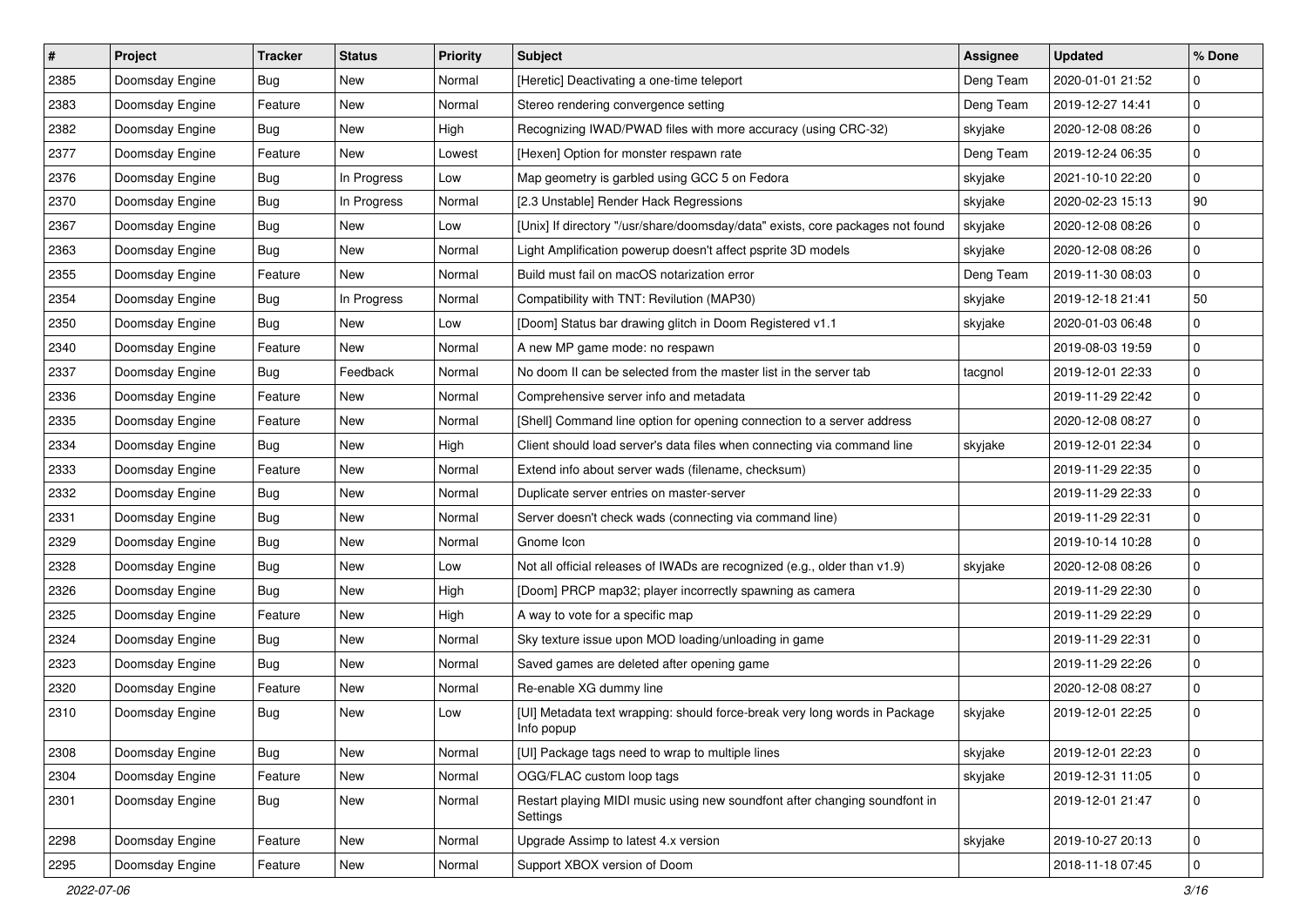| $\vert$ # | Project         | <b>Tracker</b> | <b>Status</b> | <b>Priority</b> | <b>Subject</b>                                                                           | Assignee  | <b>Updated</b>   | % Done      |
|-----------|-----------------|----------------|---------------|-----------------|------------------------------------------------------------------------------------------|-----------|------------------|-------------|
| 2385      | Doomsday Engine | <b>Bug</b>     | <b>New</b>    | Normal          | [Heretic] Deactivating a one-time teleport                                               | Deng Team | 2020-01-01 21:52 | 0           |
| 2383      | Doomsday Engine | Feature        | New           | Normal          | Stereo rendering convergence setting                                                     | Deng Team | 2019-12-27 14:41 | $\mathbf 0$ |
| 2382      | Doomsday Engine | <b>Bug</b>     | New           | High            | Recognizing IWAD/PWAD files with more accuracy (using CRC-32)                            | skyjake   | 2020-12-08 08:26 | $\mathbf 0$ |
| 2377      | Doomsday Engine | Feature        | New           | Lowest          | [Hexen] Option for monster respawn rate                                                  | Deng Team | 2019-12-24 06:35 | $\mathbf 0$ |
| 2376      | Doomsday Engine | <b>Bug</b>     | In Progress   | Low             | Map geometry is garbled using GCC 5 on Fedora                                            | skyjake   | 2021-10-10 22:20 | $\mathbf 0$ |
| 2370      | Doomsday Engine | <b>Bug</b>     | In Progress   | Normal          | [2.3 Unstable] Render Hack Regressions                                                   | skyjake   | 2020-02-23 15:13 | 90          |
| 2367      | Doomsday Engine | <b>Bug</b>     | <b>New</b>    | Low             | [Unix] If directory "/usr/share/doomsday/data" exists, core packages not found           | skyjake   | 2020-12-08 08:26 | $\mathbf 0$ |
| 2363      | Doomsday Engine | <b>Bug</b>     | New           | Normal          | Light Amplification powerup doesn't affect psprite 3D models                             | skyjake   | 2020-12-08 08:26 | $\mathbf 0$ |
| 2355      | Doomsday Engine | Feature        | New           | Normal          | Build must fail on macOS notarization error                                              | Deng Team | 2019-11-30 08:03 | $\mathbf 0$ |
| 2354      | Doomsday Engine | Bug            | In Progress   | Normal          | Compatibility with TNT: Revilution (MAP30)                                               | skyjake   | 2019-12-18 21:41 | 50          |
| 2350      | Doomsday Engine | Bug            | New           | Low             | [Doom] Status bar drawing glitch in Doom Registered v1.1                                 | skyjake   | 2020-01-03 06:48 | 0           |
| 2340      | Doomsday Engine | Feature        | New           | Normal          | A new MP game mode: no respawn                                                           |           | 2019-08-03 19:59 | $\mathbf 0$ |
| 2337      | Doomsday Engine | Bug            | Feedback      | Normal          | No doom II can be selected from the master list in the server tab                        | tacgnol   | 2019-12-01 22:33 | 0           |
| 2336      | Doomsday Engine | Feature        | New           | Normal          | Comprehensive server info and metadata                                                   |           | 2019-11-29 22:42 | $\mathbf 0$ |
| 2335      | Doomsday Engine | Feature        | New           | Normal          | [Shell] Command line option for opening connection to a server address                   |           | 2020-12-08 08:27 | $\mathbf 0$ |
| 2334      | Doomsday Engine | Bug            | New           | High            | Client should load server's data files when connecting via command line                  | skyjake   | 2019-12-01 22:34 | $\mathbf 0$ |
| 2333      | Doomsday Engine | Feature        | New           | Normal          | Extend info about server wads (filename, checksum)                                       |           | 2019-11-29 22:35 | $\mathbf 0$ |
| 2332      | Doomsday Engine | Bug            | New           | Normal          | Duplicate server entries on master-server                                                |           | 2019-11-29 22:33 | $\mathbf 0$ |
| 2331      | Doomsday Engine | Bug            | New           | Normal          | Server doesn't check wads (connecting via command line)                                  |           | 2019-11-29 22:31 | $\mathbf 0$ |
| 2329      | Doomsday Engine | <b>Bug</b>     | <b>New</b>    | Normal          | Gnome Icon                                                                               |           | 2019-10-14 10:28 | $\mathbf 0$ |
| 2328      | Doomsday Engine | Bug            | New           | Low             | Not all official releases of IWADs are recognized (e.g., older than v1.9)                | skyjake   | 2020-12-08 08:26 | $\mathbf 0$ |
| 2326      | Doomsday Engine | Bug            | New           | High            | [Doom] PRCP map32; player incorrectly spawning as camera                                 |           | 2019-11-29 22:30 | $\mathbf 0$ |
| 2325      | Doomsday Engine | Feature        | New           | High            | A way to vote for a specific map                                                         |           | 2019-11-29 22:29 | $\mathbf 0$ |
| 2324      | Doomsday Engine | Bug            | New           | Normal          | Sky texture issue upon MOD loading/unloading in game                                     |           | 2019-11-29 22:31 | $\mathbf 0$ |
| 2323      | Doomsday Engine | <b>Bug</b>     | <b>New</b>    | Normal          | Saved games are deleted after opening game                                               |           | 2019-11-29 22:26 | $\mathbf 0$ |
| 2320      | Doomsday Engine | Feature        | New           | Normal          | Re-enable XG dummy line                                                                  |           | 2020-12-08 08:27 | 0           |
| 2310      | Doomsday Engine | Bug            | New           | Low             | [UI] Metadata text wrapping: should force-break very long words in Package<br>Info popup | skyjake   | 2019-12-01 22:25 | $\mathbf 0$ |
| 2308      | Doomsday Engine | <b>Bug</b>     | New           | Normal          | [UI] Package tags need to wrap to multiple lines                                         | skyjake   | 2019-12-01 22:23 | 0           |
| 2304      | Doomsday Engine | Feature        | New           | Normal          | OGG/FLAC custom loop tags                                                                | skyjake   | 2019-12-31 11:05 | $\pmb{0}$   |
| 2301      | Doomsday Engine | <b>Bug</b>     | New           | Normal          | Restart playing MIDI music using new soundfont after changing soundfont in<br>Settings   |           | 2019-12-01 21:47 | $\pmb{0}$   |
| 2298      | Doomsday Engine | Feature        | New           | Normal          | Upgrade Assimp to latest 4.x version                                                     | skyjake   | 2019-10-27 20:13 | $\mathbf 0$ |
| 2295      | Doomsday Engine | Feature        | New           | Normal          | Support XBOX version of Doom                                                             |           | 2018-11-18 07:45 | $\pmb{0}$   |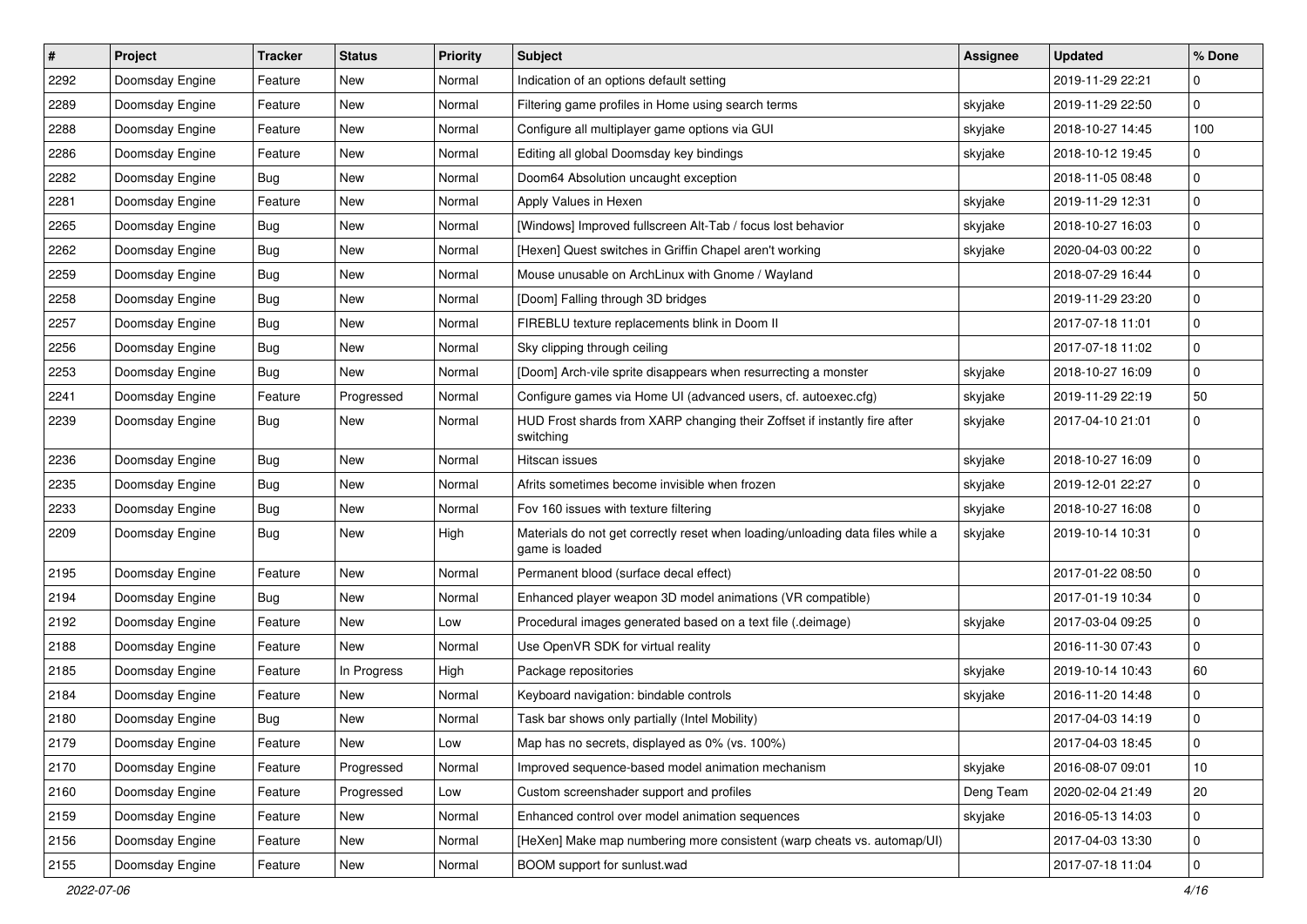| $\vert$ # | Project         | <b>Tracker</b> | <b>Status</b> | <b>Priority</b> | <b>Subject</b>                                                                                   | <b>Assignee</b> | <b>Updated</b>   | % Done      |
|-----------|-----------------|----------------|---------------|-----------------|--------------------------------------------------------------------------------------------------|-----------------|------------------|-------------|
| 2292      | Doomsday Engine | Feature        | New           | Normal          | Indication of an options default setting                                                         |                 | 2019-11-29 22:21 | 0           |
| 2289      | Doomsday Engine | Feature        | <b>New</b>    | Normal          | Filtering game profiles in Home using search terms                                               | skyjake         | 2019-11-29 22:50 | $\mathbf 0$ |
| 2288      | Doomsday Engine | Feature        | New           | Normal          | Configure all multiplayer game options via GUI                                                   | skyjake         | 2018-10-27 14:45 | 100         |
| 2286      | Doomsday Engine | Feature        | New           | Normal          | Editing all global Doomsday key bindings                                                         | skyjake         | 2018-10-12 19:45 | 0           |
| 2282      | Doomsday Engine | <b>Bug</b>     | <b>New</b>    | Normal          | Doom64 Absolution uncaught exception                                                             |                 | 2018-11-05 08:48 | 0           |
| 2281      | Doomsday Engine | Feature        | New           | Normal          | Apply Values in Hexen                                                                            | skyjake         | 2019-11-29 12:31 | $\mathbf 0$ |
| 2265      | Doomsday Engine | <b>Bug</b>     | <b>New</b>    | Normal          | [Windows] Improved fullscreen Alt-Tab / focus lost behavior                                      | skyjake         | 2018-10-27 16:03 | $\mathbf 0$ |
| 2262      | Doomsday Engine | Bug            | New           | Normal          | [Hexen] Quest switches in Griffin Chapel aren't working                                          | skyjake         | 2020-04-03 00:22 | 0           |
| 2259      | Doomsday Engine | Bug            | New           | Normal          | Mouse unusable on ArchLinux with Gnome / Wayland                                                 |                 | 2018-07-29 16:44 | $\mathbf 0$ |
| 2258      | Doomsday Engine | Bug            | <b>New</b>    | Normal          | [Doom] Falling through 3D bridges                                                                |                 | 2019-11-29 23:20 | $\mathbf 0$ |
| 2257      | Doomsday Engine | Bug            | New           | Normal          | FIREBLU texture replacements blink in Doom II                                                    |                 | 2017-07-18 11:01 | $\mathbf 0$ |
| 2256      | Doomsday Engine | Bug            | <b>New</b>    | Normal          | Sky clipping through ceiling                                                                     |                 | 2017-07-18 11:02 | 0           |
| 2253      | Doomsday Engine | Bug            | New           | Normal          | [Doom] Arch-vile sprite disappears when resurrecting a monster                                   | skyjake         | 2018-10-27 16:09 | 0           |
| 2241      | Doomsday Engine | Feature        | Progressed    | Normal          | Configure games via Home UI (advanced users, cf. autoexec.cfg)                                   | skyjake         | 2019-11-29 22:19 | 50          |
| 2239      | Doomsday Engine | <b>Bug</b>     | <b>New</b>    | Normal          | HUD Frost shards from XARP changing their Zoffset if instantly fire after<br>switching           | skyjake         | 2017-04-10 21:01 | $\mathbf 0$ |
| 2236      | Doomsday Engine | Bug            | <b>New</b>    | Normal          | Hitscan issues                                                                                   | skyjake         | 2018-10-27 16:09 | $\mathbf 0$ |
| 2235      | Doomsday Engine | Bug            | <b>New</b>    | Normal          | Afrits sometimes become invisible when frozen                                                    | skyjake         | 2019-12-01 22:27 | 0           |
| 2233      | Doomsday Engine | Bug            | New           | Normal          | Fov 160 issues with texture filtering                                                            | skyjake         | 2018-10-27 16:08 | $\mathbf 0$ |
| 2209      | Doomsday Engine | Bug            | <b>New</b>    | High            | Materials do not get correctly reset when loading/unloading data files while a<br>game is loaded | skyjake         | 2019-10-14 10:31 | $\Omega$    |
| 2195      | Doomsday Engine | Feature        | <b>New</b>    | Normal          | Permanent blood (surface decal effect)                                                           |                 | 2017-01-22 08:50 | $\mathbf 0$ |
| 2194      | Doomsday Engine | Bug            | <b>New</b>    | Normal          | Enhanced player weapon 3D model animations (VR compatible)                                       |                 | 2017-01-19 10:34 | 0           |
| 2192      | Doomsday Engine | Feature        | New           | Low             | Procedural images generated based on a text file (.deimage)                                      | skyjake         | 2017-03-04 09:25 | 0           |
| 2188      | Doomsday Engine | Feature        | New           | Normal          | Use OpenVR SDK for virtual reality                                                               |                 | 2016-11-30 07:43 | 0           |
| 2185      | Doomsday Engine | Feature        | In Progress   | High            | Package repositories                                                                             | skyjake         | 2019-10-14 10:43 | 60          |
| 2184      | Doomsday Engine | Feature        | New           | Normal          | Keyboard navigation: bindable controls                                                           | skyjake         | 2016-11-20 14:48 | $\mathbf 0$ |
| 2180      | Doomsday Engine | <b>Bug</b>     | New           | Normal          | Task bar shows only partially (Intel Mobility)                                                   |                 | 2017-04-03 14:19 | $\mathbf 0$ |
| 2179      | Doomsday Engine | Feature        | New           | Low             | Map has no secrets, displayed as 0% (vs. 100%)                                                   |                 | 2017-04-03 18:45 | 0           |
| 2170      | Doomsday Engine | Feature        | Progressed    | Normal          | Improved sequence-based model animation mechanism                                                | skyjake         | 2016-08-07 09:01 | $10$        |
| 2160      | Doomsday Engine | Feature        | Progressed    | Low             | Custom screenshader support and profiles                                                         | Deng Team       | 2020-02-04 21:49 | 20          |
| 2159      | Doomsday Engine | Feature        | New           | Normal          | Enhanced control over model animation sequences                                                  | skyjake         | 2016-05-13 14:03 | 0           |
| 2156      | Doomsday Engine | Feature        | New           | Normal          | [HeXen] Make map numbering more consistent (warp cheats vs. automap/UI)                          |                 | 2017-04-03 13:30 | $\pmb{0}$   |
| 2155      | Doomsday Engine | Feature        | New           | Normal          | BOOM support for sunlust.wad                                                                     |                 | 2017-07-18 11:04 | 0           |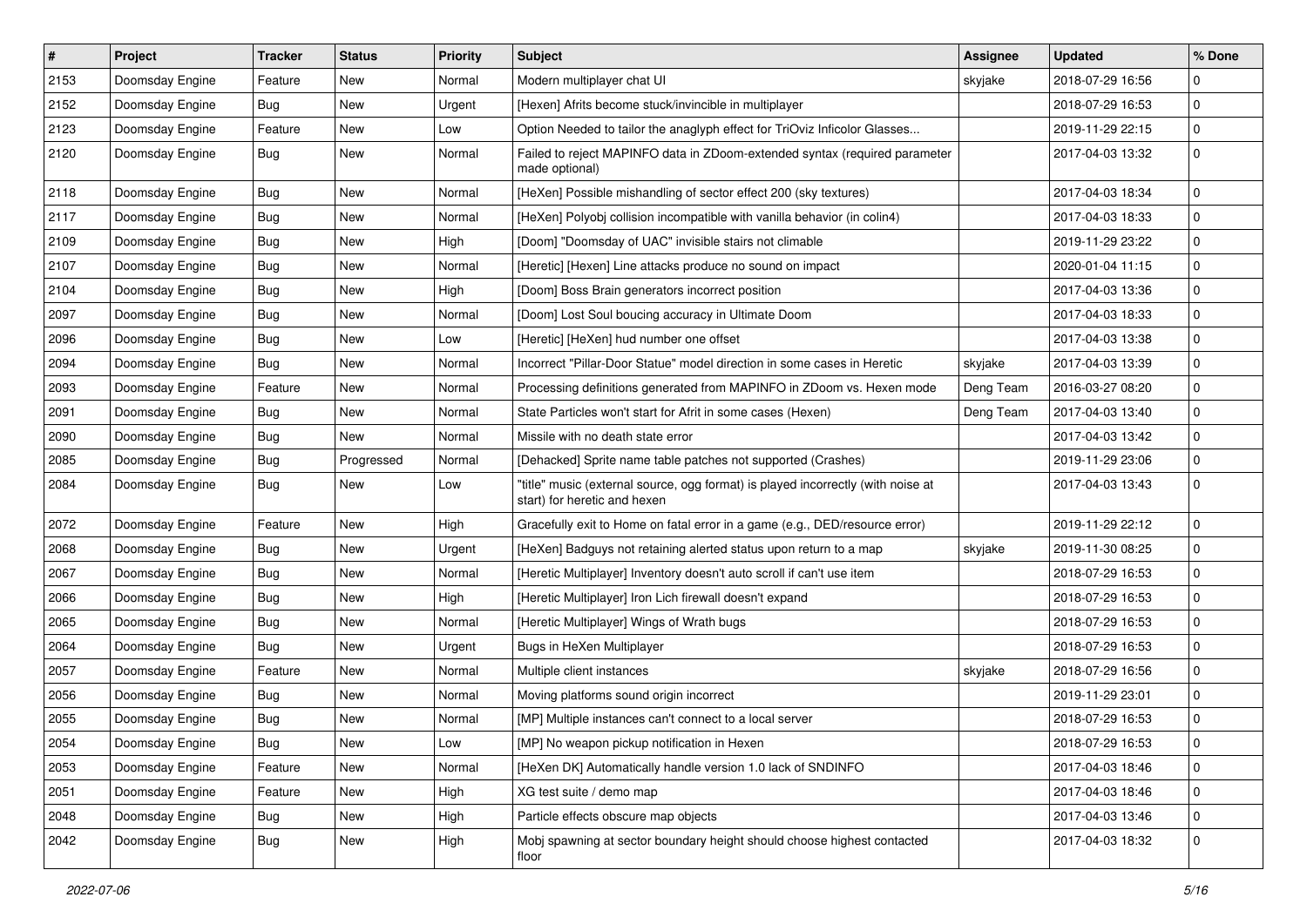| $\sharp$ | Project         | <b>Tracker</b> | <b>Status</b> | <b>Priority</b> | <b>Subject</b>                                                                                                   | Assignee  | <b>Updated</b>   | % Done      |
|----------|-----------------|----------------|---------------|-----------------|------------------------------------------------------------------------------------------------------------------|-----------|------------------|-------------|
| 2153     | Doomsday Engine | Feature        | <b>New</b>    | Normal          | Modern multiplayer chat UI                                                                                       | skyjake   | 2018-07-29 16:56 | 0           |
| 2152     | Doomsday Engine | Bug            | New           | Urgent          | [Hexen] Afrits become stuck/invincible in multiplayer                                                            |           | 2018-07-29 16:53 | $\pmb{0}$   |
| 2123     | Doomsday Engine | Feature        | New           | Low             | Option Needed to tailor the anaglyph effect for TriOviz Inficolor Glasses                                        |           | 2019-11-29 22:15 | 0           |
| 2120     | Doomsday Engine | Bug            | New           | Normal          | Failed to reject MAPINFO data in ZDoom-extended syntax (required parameter<br>made optional)                     |           | 2017-04-03 13:32 | $\pmb{0}$   |
| 2118     | Doomsday Engine | <b>Bug</b>     | New           | Normal          | [HeXen] Possible mishandling of sector effect 200 (sky textures)                                                 |           | 2017-04-03 18:34 | 0           |
| 2117     | Doomsday Engine | Bug            | <b>New</b>    | Normal          | [HeXen] Polyobj collision incompatible with vanilla behavior (in colin4)                                         |           | 2017-04-03 18:33 | $\pmb{0}$   |
| 2109     | Doomsday Engine | Bug            | New           | High            | [Doom] "Doomsday of UAC" invisible stairs not climable                                                           |           | 2019-11-29 23:22 | 0           |
| 2107     | Doomsday Engine | Bug            | New           | Normal          | [Heretic] [Hexen] Line attacks produce no sound on impact                                                        |           | 2020-01-04 11:15 | $\pmb{0}$   |
| 2104     | Doomsday Engine | Bug            | <b>New</b>    | High            | [Doom] Boss Brain generators incorrect position                                                                  |           | 2017-04-03 13:36 | $\pmb{0}$   |
| 2097     | Doomsday Engine | Bug            | New           | Normal          | [Doom] Lost Soul boucing accuracy in Ultimate Doom                                                               |           | 2017-04-03 18:33 | 0           |
| 2096     | Doomsday Engine | Bug            | New           | Low             | [Heretic] [HeXen] hud number one offset                                                                          |           | 2017-04-03 13:38 | $\pmb{0}$   |
| 2094     | Doomsday Engine | Bug            | New           | Normal          | Incorrect "Pillar-Door Statue" model direction in some cases in Heretic                                          | skyjake   | 2017-04-03 13:39 | $\pmb{0}$   |
| 2093     | Doomsday Engine | Feature        | New           | Normal          | Processing definitions generated from MAPINFO in ZDoom vs. Hexen mode                                            | Deng Team | 2016-03-27 08:20 | 0           |
| 2091     | Doomsday Engine | Bug            | New           | Normal          | State Particles won't start for Afrit in some cases (Hexen)                                                      | Deng Team | 2017-04-03 13:40 | $\pmb{0}$   |
| 2090     | Doomsday Engine | Bug            | New           | Normal          | Missile with no death state error                                                                                |           | 2017-04-03 13:42 | 0           |
| 2085     | Doomsday Engine | Bug            | Progressed    | Normal          | [Dehacked] Sprite name table patches not supported (Crashes)                                                     |           | 2019-11-29 23:06 | $\pmb{0}$   |
| 2084     | Doomsday Engine | Bug            | New           | Low             | "title" music (external source, ogg format) is played incorrectly (with noise at<br>start) for heretic and hexen |           | 2017-04-03 13:43 | $\mathbf 0$ |
| 2072     | Doomsday Engine | Feature        | <b>New</b>    | High            | Gracefully exit to Home on fatal error in a game (e.g., DED/resource error)                                      |           | 2019-11-29 22:12 | $\pmb{0}$   |
| 2068     | Doomsday Engine | Bug            | New           | Urgent          | [HeXen] Badguys not retaining alerted status upon return to a map                                                | skyjake   | 2019-11-30 08:25 | 0           |
| 2067     | Doomsday Engine | Bug            | New           | Normal          | [Heretic Multiplayer] Inventory doesn't auto scroll if can't use item                                            |           | 2018-07-29 16:53 | $\mathbf 0$ |
| 2066     | Doomsday Engine | Bug            | New           | High            | [Heretic Multiplayer] Iron Lich firewall doesn't expand                                                          |           | 2018-07-29 16:53 | 0           |
| 2065     | Doomsday Engine | Bug            | New           | Normal          | [Heretic Multiplayer] Wings of Wrath bugs                                                                        |           | 2018-07-29 16:53 | 0           |
| 2064     | Doomsday Engine | Bug            | <b>New</b>    | Urgent          | Bugs in HeXen Multiplayer                                                                                        |           | 2018-07-29 16:53 | $\pmb{0}$   |
| 2057     | Doomsday Engine | Feature        | New           | Normal          | Multiple client instances                                                                                        | skyjake   | 2018-07-29 16:56 | 0           |
| 2056     | Doomsday Engine | Bug            | New           | Normal          | Moving platforms sound origin incorrect                                                                          |           | 2019-11-29 23:01 | $\pmb{0}$   |
| 2055     | Doomsday Engine | Bug            | <b>New</b>    | Normal          | [MP] Multiple instances can't connect to a local server                                                          |           | 2018-07-29 16:53 | $\mathbf 0$ |
| 2054     | Doomsday Engine | Bug            | New           | Low             | [MP] No weapon pickup notification in Hexen                                                                      |           | 2018-07-29 16:53 | 0           |
| 2053     | Doomsday Engine | Feature        | New           | Normal          | [HeXen DK] Automatically handle version 1.0 lack of SNDINFO                                                      |           | 2017-04-03 18:46 | $\pmb{0}$   |
| 2051     | Doomsday Engine | Feature        | New           | High            | XG test suite / demo map                                                                                         |           | 2017-04-03 18:46 | $\mathbf 0$ |
| 2048     | Doomsday Engine | Bug            | New           | High            | Particle effects obscure map objects                                                                             |           | 2017-04-03 13:46 | 0           |
| 2042     | Doomsday Engine | Bug            | New           | High            | Mobj spawning at sector boundary height should choose highest contacted<br>floor                                 |           | 2017-04-03 18:32 | $\pmb{0}$   |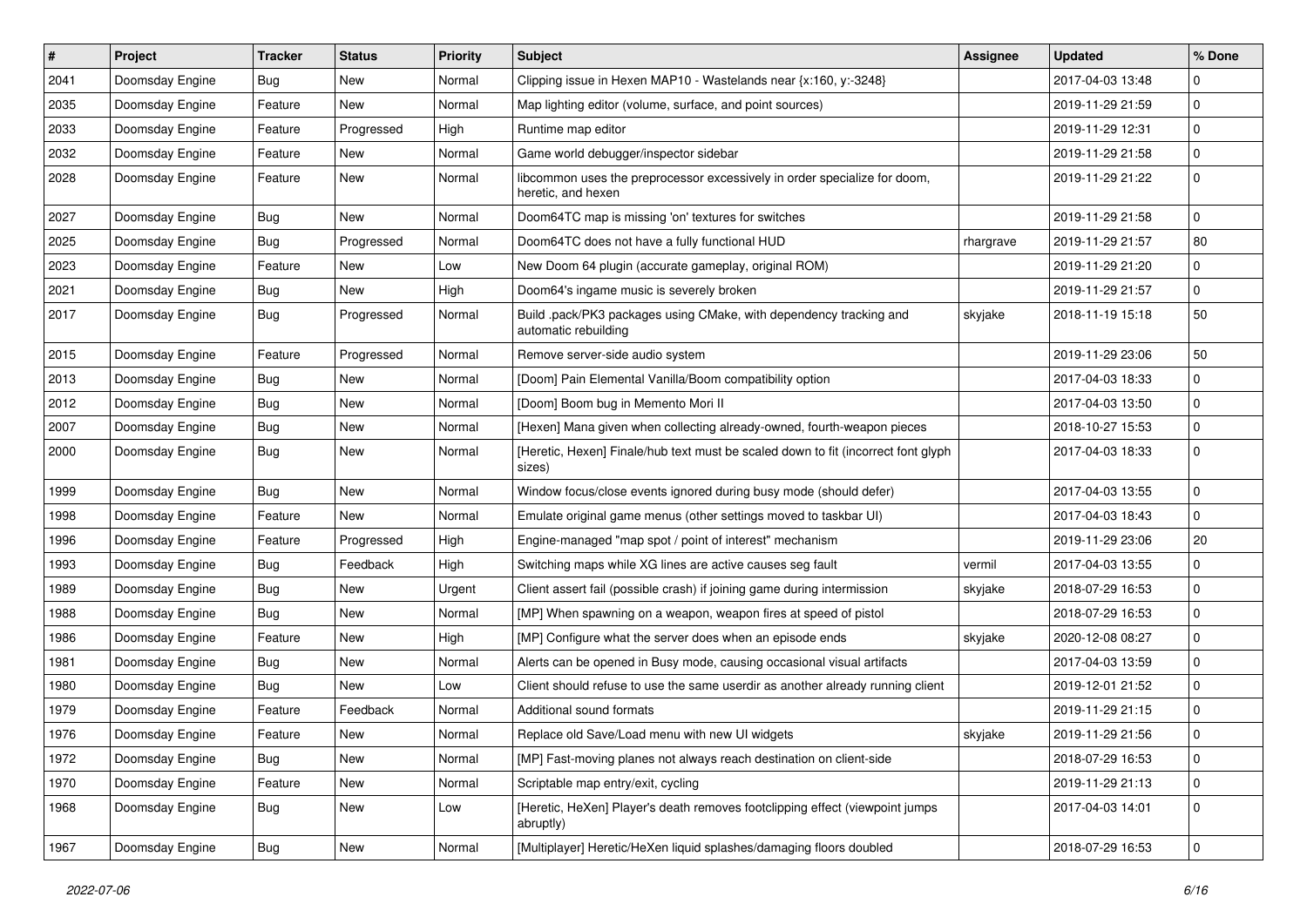| $\sharp$ | <b>Project</b>  | <b>Tracker</b> | <b>Status</b> | <b>Priority</b> | <b>Subject</b>                                                                                  | <b>Assignee</b> | <b>Updated</b>   | % Done      |
|----------|-----------------|----------------|---------------|-----------------|-------------------------------------------------------------------------------------------------|-----------------|------------------|-------------|
| 2041     | Doomsday Engine | Bug            | New           | Normal          | Clipping issue in Hexen MAP10 - Wastelands near {x:160, y:-3248}                                |                 | 2017-04-03 13:48 | $\Omega$    |
| 2035     | Doomsday Engine | Feature        | New           | Normal          | Map lighting editor (volume, surface, and point sources)                                        |                 | 2019-11-29 21:59 | $\mathbf 0$ |
| 2033     | Doomsday Engine | Feature        | Progressed    | High            | Runtime map editor                                                                              |                 | 2019-11-29 12:31 | $\mathbf 0$ |
| 2032     | Doomsday Engine | Feature        | New           | Normal          | Game world debugger/inspector sidebar                                                           |                 | 2019-11-29 21:58 | $\mathbf 0$ |
| 2028     | Doomsday Engine | Feature        | New           | Normal          | libcommon uses the preprocessor excessively in order specialize for doom,<br>heretic, and hexen |                 | 2019-11-29 21:22 | 0           |
| 2027     | Doomsday Engine | Bug            | <b>New</b>    | Normal          | Doom64TC map is missing 'on' textures for switches                                              |                 | 2019-11-29 21:58 | $\mathbf 0$ |
| 2025     | Doomsday Engine | Bug            | Progressed    | Normal          | Doom64TC does not have a fully functional HUD                                                   | rhargrave       | 2019-11-29 21:57 | 80          |
| 2023     | Doomsday Engine | Feature        | New           | Low             | New Doom 64 plugin (accurate gameplay, original ROM)                                            |                 | 2019-11-29 21:20 | $\mathbf 0$ |
| 2021     | Doomsday Engine | Bug            | New           | High            | Doom64's ingame music is severely broken                                                        |                 | 2019-11-29 21:57 | 0           |
| 2017     | Doomsday Engine | Bug            | Progressed    | Normal          | Build .pack/PK3 packages using CMake, with dependency tracking and<br>automatic rebuilding      | skyjake         | 2018-11-19 15:18 | 50          |
| 2015     | Doomsday Engine | Feature        | Progressed    | Normal          | Remove server-side audio system                                                                 |                 | 2019-11-29 23:06 | 50          |
| 2013     | Doomsday Engine | Bug            | New           | Normal          | [Doom] Pain Elemental Vanilla/Boom compatibility option                                         |                 | 2017-04-03 18:33 | $\mathbf 0$ |
| 2012     | Doomsday Engine | <b>Bug</b>     | <b>New</b>    | Normal          | [Doom] Boom bug in Memento Mori II                                                              |                 | 2017-04-03 13:50 | $\mathbf 0$ |
| 2007     | Doomsday Engine | Bug            | New           | Normal          | [Hexen] Mana given when collecting already-owned, fourth-weapon pieces                          |                 | 2018-10-27 15:53 | 0           |
| 2000     | Doomsday Engine | Bug            | New           | Normal          | [Heretic, Hexen] Finale/hub text must be scaled down to fit (incorrect font glyph<br>sizes)     |                 | 2017-04-03 18:33 | $\mathbf 0$ |
| 1999     | Doomsday Engine | <b>Bug</b>     | New           | Normal          | Window focus/close events ignored during busy mode (should defer)                               |                 | 2017-04-03 13:55 | $\mathbf 0$ |
| 1998     | Doomsday Engine | Feature        | New           | Normal          | Emulate original game menus (other settings moved to taskbar UI)                                |                 | 2017-04-03 18:43 | $\mathbf 0$ |
| 1996     | Doomsday Engine | Feature        | Progressed    | High            | Engine-managed "map spot / point of interest" mechanism                                         |                 | 2019-11-29 23:06 | 20          |
| 1993     | Doomsday Engine | Bug            | Feedback      | High            | Switching maps while XG lines are active causes seg fault                                       | vermil          | 2017-04-03 13:55 | $\mathbf 0$ |
| 1989     | Doomsday Engine | <b>Bug</b>     | New           | Urgent          | Client assert fail (possible crash) if joining game during intermission                         | skyjake         | 2018-07-29 16:53 | $\mathbf 0$ |
| 1988     | Doomsday Engine | Bug            | New           | Normal          | [MP] When spawning on a weapon, weapon fires at speed of pistol                                 |                 | 2018-07-29 16:53 | $\mathbf 0$ |
| 1986     | Doomsday Engine | Feature        | New           | High            | [MP] Configure what the server does when an episode ends                                        | skyjake         | 2020-12-08 08:27 | $\mathbf 0$ |
| 1981     | Doomsday Engine | Bug            | New           | Normal          | Alerts can be opened in Busy mode, causing occasional visual artifacts                          |                 | 2017-04-03 13:59 | $\mathbf 0$ |
| 1980     | Doomsday Engine | Bug            | New           | Low             | Client should refuse to use the same userdir as another already running client                  |                 | 2019-12-01 21:52 | $\mathbf 0$ |
| 1979     | Doomsday Engine | Feature        | Feedback      | Normal          | Additional sound formats                                                                        |                 | 2019-11-29 21:15 | $\mathbf 0$ |
| 1976     | Doomsday Engine | Feature        | New           | Normal          | Replace old Save/Load menu with new UI widgets                                                  | skyjake         | 2019-11-29 21:56 | 0           |
| 1972     | Doomsday Engine | <b>Bug</b>     | New           | Normal          | [MP] Fast-moving planes not always reach destination on client-side                             |                 | 2018-07-29 16:53 | $\mathbf 0$ |
| 1970     | Doomsday Engine | Feature        | New           | Normal          | Scriptable map entry/exit, cycling                                                              |                 | 2019-11-29 21:13 | $\mathbf 0$ |
| 1968     | Doomsday Engine | <b>Bug</b>     | New           | Low             | [Heretic, HeXen] Player's death removes footclipping effect (viewpoint jumps<br>abruptly)       |                 | 2017-04-03 14:01 | 0           |
| 1967     | Doomsday Engine | <b>Bug</b>     | New           | Normal          | [Multiplayer] Heretic/HeXen liquid splashes/damaging floors doubled                             |                 | 2018-07-29 16:53 | $\mathbf 0$ |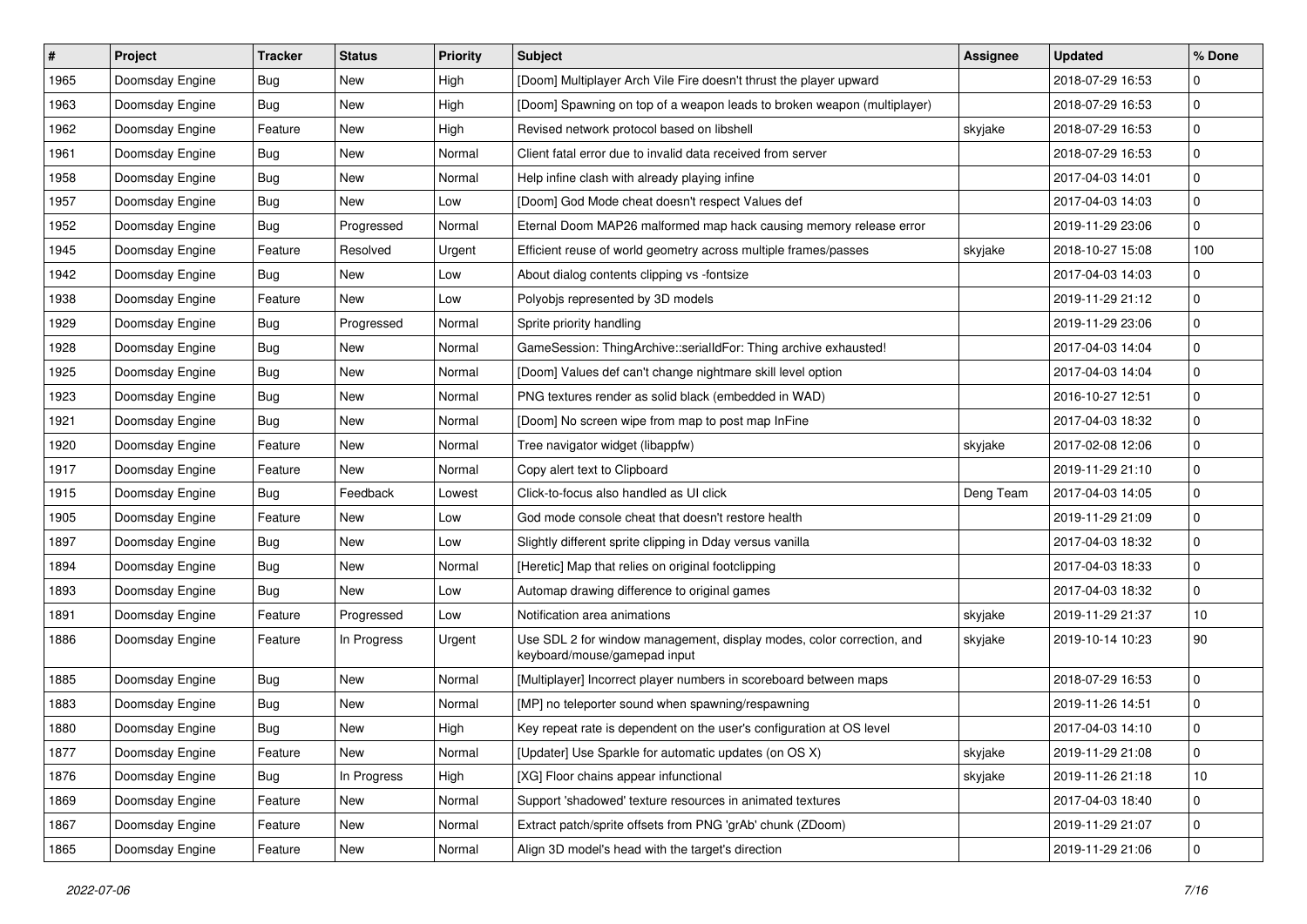| $\vert$ # | Project         | <b>Tracker</b> | <b>Status</b> | <b>Priority</b> | <b>Subject</b>                                                                                        | <b>Assignee</b> | <b>Updated</b>   | % Done      |
|-----------|-----------------|----------------|---------------|-----------------|-------------------------------------------------------------------------------------------------------|-----------------|------------------|-------------|
| 1965      | Doomsday Engine | Bug            | New           | High            | [Doom] Multiplayer Arch Vile Fire doesn't thrust the player upward                                    |                 | 2018-07-29 16:53 | $\mathbf 0$ |
| 1963      | Doomsday Engine | <b>Bug</b>     | New           | High            | [Doom] Spawning on top of a weapon leads to broken weapon (multiplayer)                               |                 | 2018-07-29 16:53 | 0           |
| 1962      | Doomsday Engine | Feature        | New           | High            | Revised network protocol based on libshell                                                            | skyjake         | 2018-07-29 16:53 | $\mathbf 0$ |
| 1961      | Doomsday Engine | Bug            | New           | Normal          | Client fatal error due to invalid data received from server                                           |                 | 2018-07-29 16:53 | $\mathbf 0$ |
| 1958      | Doomsday Engine | Bug            | New           | Normal          | Help infine clash with already playing infine                                                         |                 | 2017-04-03 14:01 | $\mathbf 0$ |
| 1957      | Doomsday Engine | Bug            | New           | Low             | [Doom] God Mode cheat doesn't respect Values def                                                      |                 | 2017-04-03 14:03 | $\mathbf 0$ |
| 1952      | Doomsday Engine | Bug            | Progressed    | Normal          | Eternal Doom MAP26 malformed map hack causing memory release error                                    |                 | 2019-11-29 23:06 | $\mathbf 0$ |
| 1945      | Doomsday Engine | Feature        | Resolved      | Urgent          | Efficient reuse of world geometry across multiple frames/passes                                       | skyjake         | 2018-10-27 15:08 | 100         |
| 1942      | Doomsday Engine | Bug            | New           | Low             | About dialog contents clipping vs -fontsize                                                           |                 | 2017-04-03 14:03 | $\mathbf 0$ |
| 1938      | Doomsday Engine | Feature        | New           | Low             | Polyobjs represented by 3D models                                                                     |                 | 2019-11-29 21:12 | $\mathbf 0$ |
| 1929      | Doomsday Engine | Bug            | Progressed    | Normal          | Sprite priority handling                                                                              |                 | 2019-11-29 23:06 | $\mathbf 0$ |
| 1928      | Doomsday Engine | Bug            | New           | Normal          | GameSession: ThingArchive::serialIdFor: Thing archive exhausted!                                      |                 | 2017-04-03 14:04 | $\mathbf 0$ |
| 1925      | Doomsday Engine | Bug            | New           | Normal          | [Doom] Values def can't change nightmare skill level option                                           |                 | 2017-04-03 14:04 | 0           |
| 1923      | Doomsday Engine | Bug            | New           | Normal          | PNG textures render as solid black (embedded in WAD)                                                  |                 | 2016-10-27 12:51 | $\mathbf 0$ |
| 1921      | Doomsday Engine | Bug            | <b>New</b>    | Normal          | [Doom] No screen wipe from map to post map InFine                                                     |                 | 2017-04-03 18:32 | 0           |
| 1920      | Doomsday Engine | Feature        | New           | Normal          | Tree navigator widget (libappfw)                                                                      | skyjake         | 2017-02-08 12:06 | 0           |
| 1917      | Doomsday Engine | Feature        | New           | Normal          | Copy alert text to Clipboard                                                                          |                 | 2019-11-29 21:10 | $\mathbf 0$ |
| 1915      | Doomsday Engine | Bug            | Feedback      | Lowest          | Click-to-focus also handled as UI click                                                               | Deng Team       | 2017-04-03 14:05 | $\mathbf 0$ |
| 1905      | Doomsday Engine | Feature        | New           | Low             | God mode console cheat that doesn't restore health                                                    |                 | 2019-11-29 21:09 | $\mathbf 0$ |
| 1897      | Doomsday Engine | Bug            | New           | Low             | Slightly different sprite clipping in Dday versus vanilla                                             |                 | 2017-04-03 18:32 | $\mathbf 0$ |
| 1894      | Doomsday Engine | Bug            | New           | Normal          | [Heretic] Map that relies on original footclipping                                                    |                 | 2017-04-03 18:33 | $\mathbf 0$ |
| 1893      | Doomsday Engine | Bug            | New           | Low             | Automap drawing difference to original games                                                          |                 | 2017-04-03 18:32 | $\mathbf 0$ |
| 1891      | Doomsday Engine | Feature        | Progressed    | Low             | Notification area animations                                                                          | skyjake         | 2019-11-29 21:37 | 10          |
| 1886      | Doomsday Engine | Feature        | In Progress   | Urgent          | Use SDL 2 for window management, display modes, color correction, and<br>keyboard/mouse/gamepad input | skyjake         | 2019-10-14 10:23 | 90          |
| 1885      | Doomsday Engine | <b>Bug</b>     | New           | Normal          | [Multiplayer] Incorrect player numbers in scoreboard between maps                                     |                 | 2018-07-29 16:53 | 0           |
| 1883      | Doomsday Engine | Bug            | <b>New</b>    | Normal          | [MP] no teleporter sound when spawning/respawning                                                     |                 | 2019-11-26 14:51 | $\mathbf 0$ |
| 1880      | Doomsday Engine | Bug            | New           | High            | Key repeat rate is dependent on the user's configuration at OS level                                  |                 | 2017-04-03 14:10 | $\mathbf 0$ |
| 1877      | Doomsday Engine | Feature        | New           | Normal          | [Updater] Use Sparkle for automatic updates (on OS X)                                                 | skyjake         | 2019-11-29 21:08 | $\pmb{0}$   |
| 1876      | Doomsday Engine | Bug            | In Progress   | High            | [XG] Floor chains appear infunctional                                                                 | skyjake         | 2019-11-26 21:18 | 10          |
| 1869      | Doomsday Engine | Feature        | New           | Normal          | Support 'shadowed' texture resources in animated textures                                             |                 | 2017-04-03 18:40 | $\pmb{0}$   |
| 1867      | Doomsday Engine | Feature        | New           | Normal          | Extract patch/sprite offsets from PNG 'grAb' chunk (ZDoom)                                            |                 | 2019-11-29 21:07 | 0           |
| 1865      | Doomsday Engine | Feature        | New           | Normal          | Align 3D model's head with the target's direction                                                     |                 | 2019-11-29 21:06 | $\mathbf 0$ |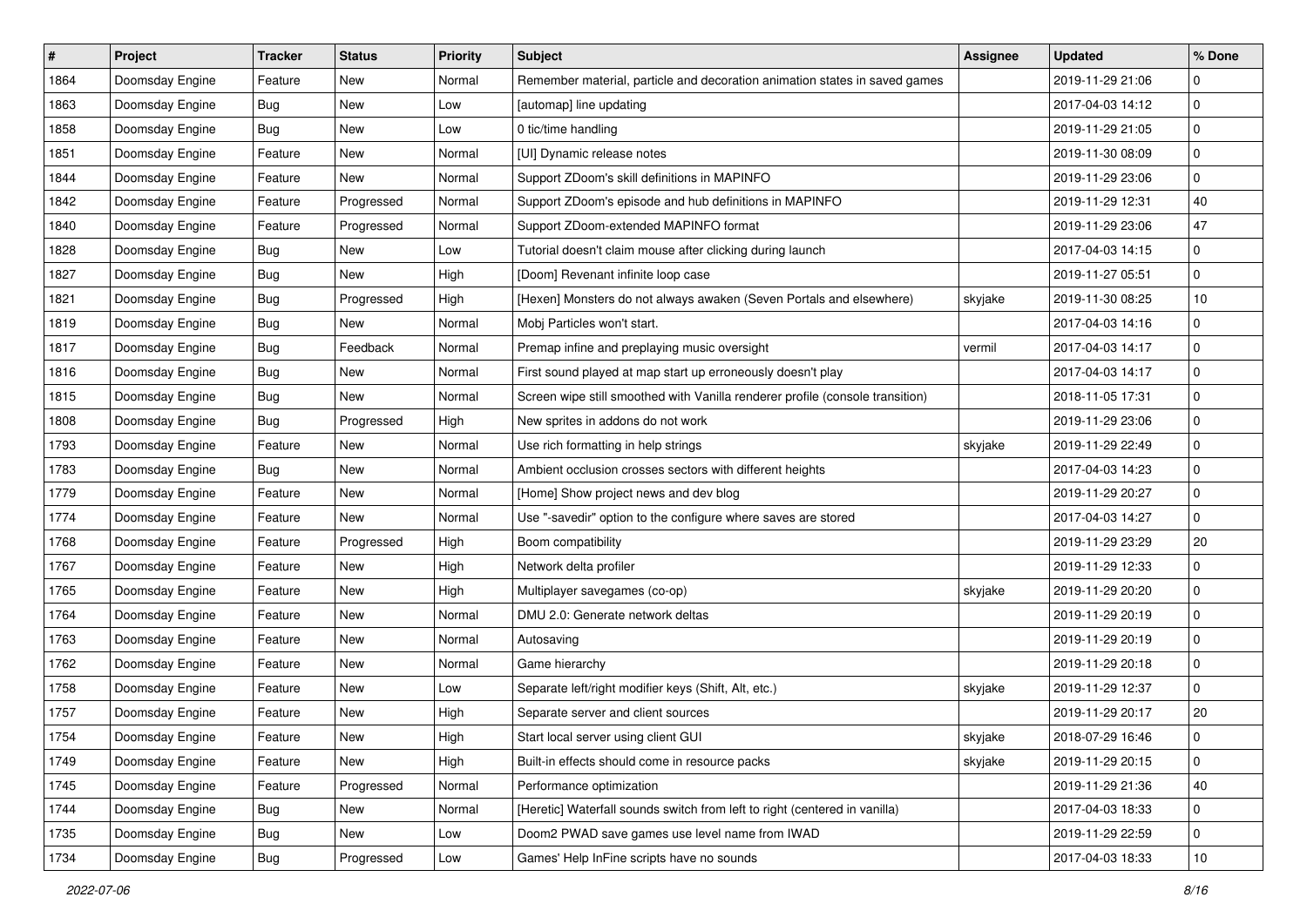| $\sharp$ | Project         | <b>Tracker</b> | <b>Status</b> | <b>Priority</b> | <b>Subject</b>                                                                | <b>Assignee</b> | <b>Updated</b>   | % Done      |
|----------|-----------------|----------------|---------------|-----------------|-------------------------------------------------------------------------------|-----------------|------------------|-------------|
| 1864     | Doomsday Engine | Feature        | New           | Normal          | Remember material, particle and decoration animation states in saved games    |                 | 2019-11-29 21:06 | 0           |
| 1863     | Doomsday Engine | Bug            | <b>New</b>    | Low             | [automap] line updating                                                       |                 | 2017-04-03 14:12 | $\pmb{0}$   |
| 1858     | Doomsday Engine | Bug            | New           | Low             | 0 tic/time handling                                                           |                 | 2019-11-29 21:05 | 0           |
| 1851     | Doomsday Engine | Feature        | New           | Normal          | [UI] Dynamic release notes                                                    |                 | 2019-11-30 08:09 | 0           |
| 1844     | Doomsday Engine | Feature        | New           | Normal          | Support ZDoom's skill definitions in MAPINFO                                  |                 | 2019-11-29 23:06 | 0           |
| 1842     | Doomsday Engine | Feature        | Progressed    | Normal          | Support ZDoom's episode and hub definitions in MAPINFO                        |                 | 2019-11-29 12:31 | 40          |
| 1840     | Doomsday Engine | Feature        | Progressed    | Normal          | Support ZDoom-extended MAPINFO format                                         |                 | 2019-11-29 23:06 | 47          |
| 1828     | Doomsday Engine | Bug            | New           | Low             | Tutorial doesn't claim mouse after clicking during launch                     |                 | 2017-04-03 14:15 | 0           |
| 1827     | Doomsday Engine | <b>Bug</b>     | New           | High            | [Doom] Revenant infinite loop case                                            |                 | 2019-11-27 05:51 | 0           |
| 1821     | Doomsday Engine | Bug            | Progressed    | High            | [Hexen] Monsters do not always awaken (Seven Portals and elsewhere)           | skyjake         | 2019-11-30 08:25 | 10          |
| 1819     | Doomsday Engine | Bug            | New           | Normal          | Mobj Particles won't start.                                                   |                 | 2017-04-03 14:16 | 0           |
| 1817     | Doomsday Engine | Bug            | Feedback      | Normal          | Premap infine and preplaying music oversight                                  | vermil          | 2017-04-03 14:17 | $\mathbf 0$ |
| 1816     | Doomsday Engine | Bug            | New           | Normal          | First sound played at map start up erroneously doesn't play                   |                 | 2017-04-03 14:17 | 0           |
| 1815     | Doomsday Engine | Bug            | New           | Normal          | Screen wipe still smoothed with Vanilla renderer profile (console transition) |                 | 2018-11-05 17:31 | 0           |
| 1808     | Doomsday Engine | Bug            | Progressed    | High            | New sprites in addons do not work                                             |                 | 2019-11-29 23:06 | $\mathbf 0$ |
| 1793     | Doomsday Engine | Feature        | New           | Normal          | Use rich formatting in help strings                                           | skyjake         | 2019-11-29 22:49 | 0           |
| 1783     | Doomsday Engine | Bug            | New           | Normal          | Ambient occlusion crosses sectors with different heights                      |                 | 2017-04-03 14:23 | 0           |
| 1779     | Doomsday Engine | Feature        | New           | Normal          | [Home] Show project news and dev blog                                         |                 | 2019-11-29 20:27 | 0           |
| 1774     | Doomsday Engine | Feature        | New           | Normal          | Use "-savedir" option to the configure where saves are stored                 |                 | 2017-04-03 14:27 | 0           |
| 1768     | Doomsday Engine | Feature        | Progressed    | High            | Boom compatibility                                                            |                 | 2019-11-29 23:29 | 20          |
| 1767     | Doomsday Engine | Feature        | New           | High            | Network delta profiler                                                        |                 | 2019-11-29 12:33 | 0           |
| 1765     | Doomsday Engine | Feature        | New           | High            | Multiplayer savegames (co-op)                                                 | skyjake         | 2019-11-29 20:20 | 0           |
| 1764     | Doomsday Engine | Feature        | New           | Normal          | DMU 2.0: Generate network deltas                                              |                 | 2019-11-29 20:19 | $\mathbf 0$ |
| 1763     | Doomsday Engine | Feature        | New           | Normal          | Autosaving                                                                    |                 | 2019-11-29 20:19 | 0           |
| 1762     | Doomsday Engine | Feature        | New           | Normal          | Game hierarchy                                                                |                 | 2019-11-29 20:18 | $\pmb{0}$   |
| 1758     | Doomsday Engine | Feature        | New           | Low             | Separate left/right modifier keys (Shift, Alt, etc.)                          | skyjake         | 2019-11-29 12:37 | 0           |
| 1757     | Doomsday Engine | Feature        | New           | High            | Separate server and client sources                                            |                 | 2019-11-29 20:17 | 20          |
| 1754     | Doomsday Engine | Feature        | New           | High            | Start local server using client GUI                                           | skyjake         | 2018-07-29 16:46 | 0           |
| 1749     | Doomsday Engine | Feature        | New           | High            | Built-in effects should come in resource packs                                | skyjake         | 2019-11-29 20:15 | 0           |
| 1745     | Doomsday Engine | Feature        | Progressed    | Normal          | Performance optimization                                                      |                 | 2019-11-29 21:36 | 40          |
| 1744     | Doomsday Engine | <b>Bug</b>     | New           | Normal          | [Heretic] Waterfall sounds switch from left to right (centered in vanilla)    |                 | 2017-04-03 18:33 | 0           |
| 1735     | Doomsday Engine | <b>Bug</b>     | New           | Low             | Doom2 PWAD save games use level name from IWAD                                |                 | 2019-11-29 22:59 | 0           |
| 1734     | Doomsday Engine | Bug            | Progressed    | Low             | Games' Help InFine scripts have no sounds                                     |                 | 2017-04-03 18:33 | 10          |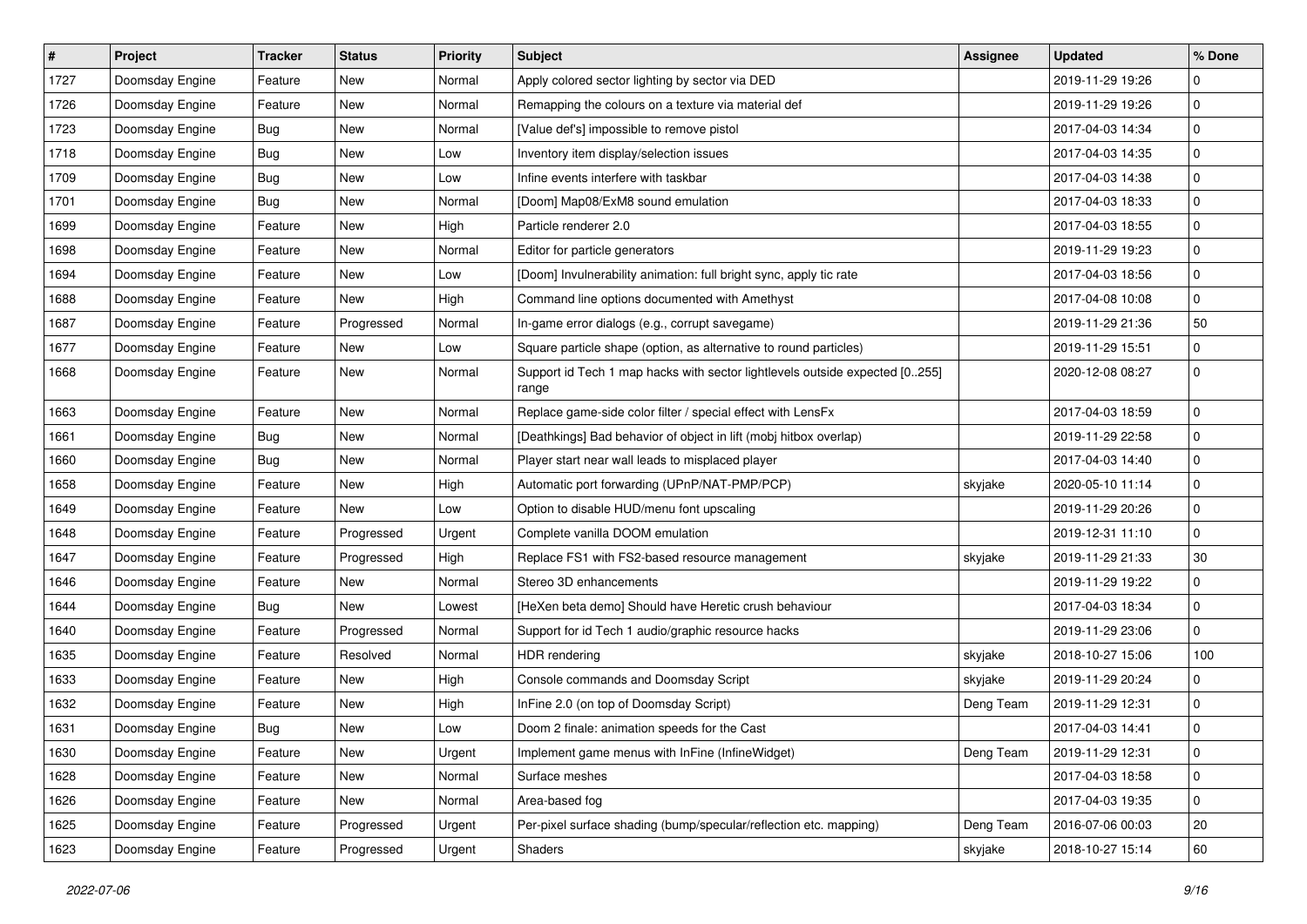| #    | Project         | <b>Tracker</b> | <b>Status</b> | <b>Priority</b> | <b>Subject</b>                                                                       | <b>Assignee</b> | <b>Updated</b>   | % Done      |
|------|-----------------|----------------|---------------|-----------------|--------------------------------------------------------------------------------------|-----------------|------------------|-------------|
| 1727 | Doomsday Engine | Feature        | New           | Normal          | Apply colored sector lighting by sector via DED                                      |                 | 2019-11-29 19:26 | $\mathbf 0$ |
| 1726 | Doomsday Engine | Feature        | New           | Normal          | Remapping the colours on a texture via material def                                  |                 | 2019-11-29 19:26 | 0           |
| 1723 | Doomsday Engine | Bug            | New           | Normal          | [Value def's] impossible to remove pistol                                            |                 | 2017-04-03 14:34 | $\mathbf 0$ |
| 1718 | Doomsday Engine | Bug            | New           | Low             | Inventory item display/selection issues                                              |                 | 2017-04-03 14:35 | $\mathbf 0$ |
| 1709 | Doomsday Engine | Bug            | New           | Low             | Infine events interfere with taskbar                                                 |                 | 2017-04-03 14:38 | $\mathbf 0$ |
| 1701 | Doomsday Engine | Bug            | New           | Normal          | [Doom] Map08/ExM8 sound emulation                                                    |                 | 2017-04-03 18:33 | $\mathbf 0$ |
| 1699 | Doomsday Engine | Feature        | <b>New</b>    | High            | Particle renderer 2.0                                                                |                 | 2017-04-03 18:55 | $\mathbf 0$ |
| 1698 | Doomsday Engine | Feature        | New           | Normal          | Editor for particle generators                                                       |                 | 2019-11-29 19:23 | $\mathbf 0$ |
| 1694 | Doomsday Engine | Feature        | New           | Low             | [Doom] Invulnerability animation: full bright sync, apply tic rate                   |                 | 2017-04-03 18:56 | $\mathbf 0$ |
| 1688 | Doomsday Engine | Feature        | New           | High            | Command line options documented with Amethyst                                        |                 | 2017-04-08 10:08 | $\mathbf 0$ |
| 1687 | Doomsday Engine | Feature        | Progressed    | Normal          | In-game error dialogs (e.g., corrupt savegame)                                       |                 | 2019-11-29 21:36 | 50          |
| 1677 | Doomsday Engine | Feature        | <b>New</b>    | Low             | Square particle shape (option, as alternative to round particles)                    |                 | 2019-11-29 15:51 | $\mathbf 0$ |
| 1668 | Doomsday Engine | Feature        | New           | Normal          | Support id Tech 1 map hacks with sector lightlevels outside expected [0255]<br>range |                 | 2020-12-08 08:27 | 0           |
| 1663 | Doomsday Engine | Feature        | <b>New</b>    | Normal          | Replace game-side color filter / special effect with LensFx                          |                 | 2017-04-03 18:59 | 0           |
| 1661 | Doomsday Engine | Bug            | New           | Normal          | [Deathkings] Bad behavior of object in lift (mobj hitbox overlap)                    |                 | 2019-11-29 22:58 | $\mathbf 0$ |
| 1660 | Doomsday Engine | Bug            | New           | Normal          | Player start near wall leads to misplaced player                                     |                 | 2017-04-03 14:40 | $\mathbf 0$ |
| 1658 | Doomsday Engine | Feature        | New           | High            | Automatic port forwarding (UPnP/NAT-PMP/PCP)                                         | skyjake         | 2020-05-10 11:14 | $\mathbf 0$ |
| 1649 | Doomsday Engine | Feature        | New           | Low             | Option to disable HUD/menu font upscaling                                            |                 | 2019-11-29 20:26 | $\mathbf 0$ |
| 1648 | Doomsday Engine | Feature        | Progressed    | Urgent          | Complete vanilla DOOM emulation                                                      |                 | 2019-12-31 11:10 | $\mathbf 0$ |
| 1647 | Doomsday Engine | Feature        | Progressed    | High            | Replace FS1 with FS2-based resource management                                       | skyjake         | 2019-11-29 21:33 | $30\,$      |
| 1646 | Doomsday Engine | Feature        | New           | Normal          | Stereo 3D enhancements                                                               |                 | 2019-11-29 19:22 | $\mathbf 0$ |
| 1644 | Doomsday Engine | Bug            | New           | Lowest          | [HeXen beta demo] Should have Heretic crush behaviour                                |                 | 2017-04-03 18:34 | $\mathbf 0$ |
| 1640 | Doomsday Engine | Feature        | Progressed    | Normal          | Support for id Tech 1 audio/graphic resource hacks                                   |                 | 2019-11-29 23:06 | $\mathbf 0$ |
| 1635 | Doomsday Engine | Feature        | Resolved      | Normal          | <b>HDR</b> rendering                                                                 | skyjake         | 2018-10-27 15:06 | 100         |
| 1633 | Doomsday Engine | Feature        | New           | High            | Console commands and Doomsday Script                                                 | skyjake         | 2019-11-29 20:24 | 0           |
| 1632 | Doomsday Engine | Feature        | New           | High            | InFine 2.0 (on top of Doomsday Script)                                               | Deng Team       | 2019-11-29 12:31 | $\mathbf 0$ |
| 1631 | Doomsday Engine | Bug            | New           | Low             | Doom 2 finale: animation speeds for the Cast                                         |                 | 2017-04-03 14:41 | $\mathbf 0$ |
| 1630 | Doomsday Engine | Feature        | New           | Urgent          | Implement game menus with InFine (InfineWidget)                                      | Deng Team       | 2019-11-29 12:31 | $\mathbf 0$ |
| 1628 | Doomsday Engine | Feature        | New           | Normal          | Surface meshes                                                                       |                 | 2017-04-03 18:58 | $\mathbf 0$ |
| 1626 | Doomsday Engine | Feature        | New           | Normal          | Area-based fog                                                                       |                 | 2017-04-03 19:35 | $\pmb{0}$   |
| 1625 | Doomsday Engine | Feature        | Progressed    | Urgent          | Per-pixel surface shading (bump/specular/reflection etc. mapping)                    | Deng Team       | 2016-07-06 00:03 | 20          |
| 1623 | Doomsday Engine | Feature        | Progressed    | Urgent          | Shaders                                                                              | skyjake         | 2018-10-27 15:14 | 60          |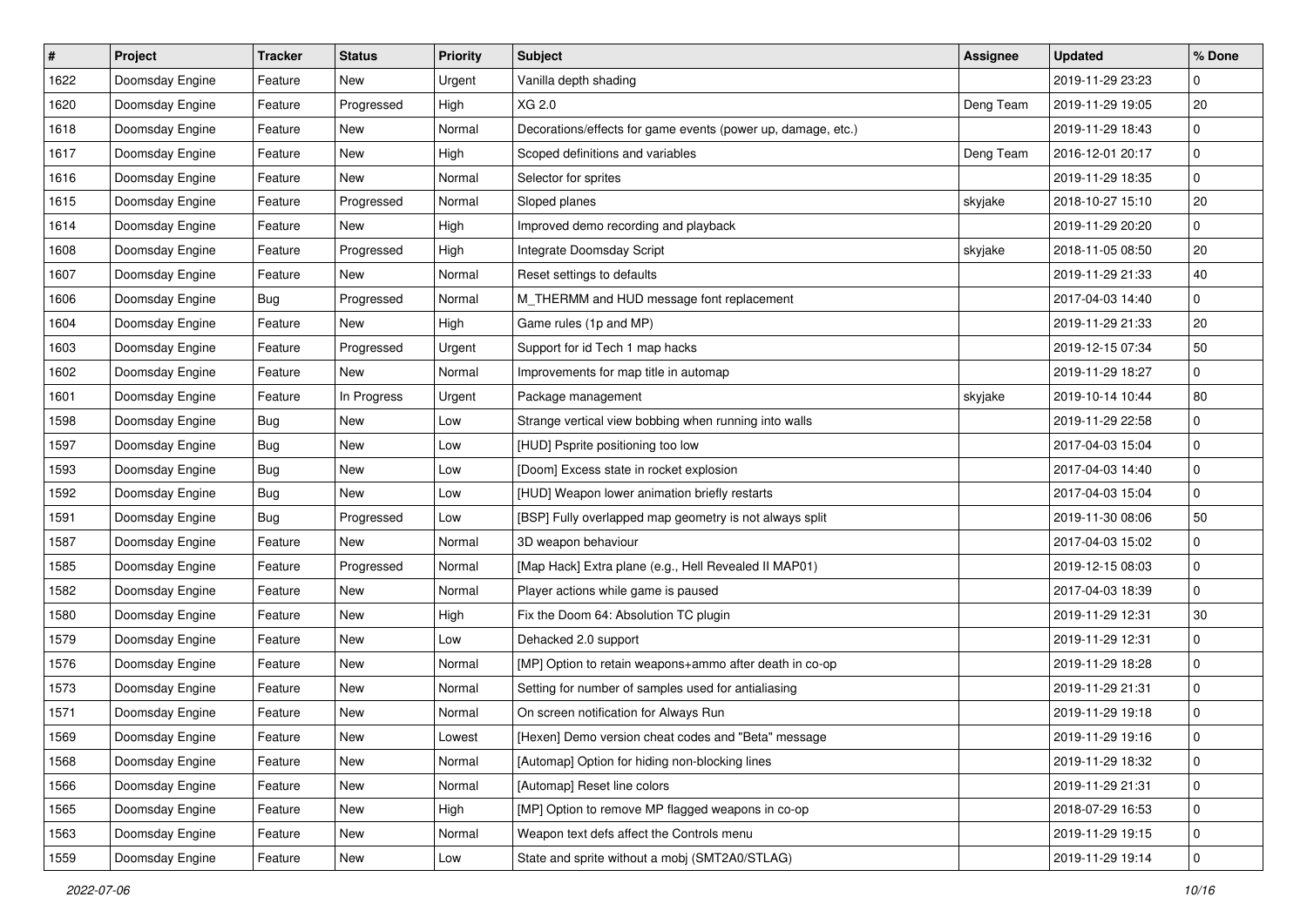| $\sharp$ | <b>Project</b>  | <b>Tracker</b> | <b>Status</b> | <b>Priority</b> | <b>Subject</b>                                               | Assignee  | <b>Updated</b>   | % Done      |
|----------|-----------------|----------------|---------------|-----------------|--------------------------------------------------------------|-----------|------------------|-------------|
| 1622     | Doomsday Engine | Feature        | New           | Urgent          | Vanilla depth shading                                        |           | 2019-11-29 23:23 | $\mathbf 0$ |
| 1620     | Doomsday Engine | Feature        | Progressed    | High            | XG 2.0                                                       | Deng Team | 2019-11-29 19:05 | 20          |
| 1618     | Doomsday Engine | Feature        | New           | Normal          | Decorations/effects for game events (power up, damage, etc.) |           | 2019-11-29 18:43 | 0           |
| 1617     | Doomsday Engine | Feature        | New           | High            | Scoped definitions and variables                             | Deng Team | 2016-12-01 20:17 | $\mathbf 0$ |
| 1616     | Doomsday Engine | Feature        | New           | Normal          | Selector for sprites                                         |           | 2019-11-29 18:35 | $\mathbf 0$ |
| 1615     | Doomsday Engine | Feature        | Progressed    | Normal          | Sloped planes                                                | skyjake   | 2018-10-27 15:10 | 20          |
| 1614     | Doomsday Engine | Feature        | New           | High            | Improved demo recording and playback                         |           | 2019-11-29 20:20 | $\mathbf 0$ |
| 1608     | Doomsday Engine | Feature        | Progressed    | High            | Integrate Doomsday Script                                    | skyjake   | 2018-11-05 08:50 | 20          |
| 1607     | Doomsday Engine | Feature        | New           | Normal          | Reset settings to defaults                                   |           | 2019-11-29 21:33 | 40          |
| 1606     | Doomsday Engine | Bug            | Progressed    | Normal          | M_THERMM and HUD message font replacement                    |           | 2017-04-03 14:40 | $\mathbf 0$ |
| 1604     | Doomsday Engine | Feature        | New           | High            | Game rules (1p and MP)                                       |           | 2019-11-29 21:33 | 20          |
| 1603     | Doomsday Engine | Feature        | Progressed    | Urgent          | Support for id Tech 1 map hacks                              |           | 2019-12-15 07:34 | 50          |
| 1602     | Doomsday Engine | Feature        | New           | Normal          | Improvements for map title in automap                        |           | 2019-11-29 18:27 | 0           |
| 1601     | Doomsday Engine | Feature        | In Progress   | Urgent          | Package management                                           | skyjake   | 2019-10-14 10:44 | 80          |
| 1598     | Doomsday Engine | Bug            | New           | Low             | Strange vertical view bobbing when running into walls        |           | 2019-11-29 22:58 | 0           |
| 1597     | Doomsday Engine | <b>Bug</b>     | New           | Low             | [HUD] Psprite positioning too low                            |           | 2017-04-03 15:04 | 0           |
| 1593     | Doomsday Engine | Bug            | New           | Low             | [Doom] Excess state in rocket explosion                      |           | 2017-04-03 14:40 | $\mathbf 0$ |
| 1592     | Doomsday Engine | <b>Bug</b>     | New           | Low             | [HUD] Weapon lower animation briefly restarts                |           | 2017-04-03 15:04 | 0           |
| 1591     | Doomsday Engine | Bug            | Progressed    | Low             | [BSP] Fully overlapped map geometry is not always split      |           | 2019-11-30 08:06 | 50          |
| 1587     | Doomsday Engine | Feature        | New           | Normal          | 3D weapon behaviour                                          |           | 2017-04-03 15:02 | 0           |
| 1585     | Doomsday Engine | Feature        | Progressed    | Normal          | [Map Hack] Extra plane (e.g., Hell Revealed II MAP01)        |           | 2019-12-15 08:03 | $\mathbf 0$ |
| 1582     | Doomsday Engine | Feature        | New           | Normal          | Player actions while game is paused                          |           | 2017-04-03 18:39 | 0           |
| 1580     | Doomsday Engine | Feature        | New           | High            | Fix the Doom 64: Absolution TC plugin                        |           | 2019-11-29 12:31 | $30\,$      |
| 1579     | Doomsday Engine | Feature        | New           | Low             | Dehacked 2.0 support                                         |           | 2019-11-29 12:31 | $\mathbf 0$ |
| 1576     | Doomsday Engine | Feature        | New           | Normal          | [MP] Option to retain weapons+ammo after death in co-op      |           | 2019-11-29 18:28 | 0           |
| 1573     | Doomsday Engine | Feature        | New           | Normal          | Setting for number of samples used for antialiasing          |           | 2019-11-29 21:31 | 0           |
| 1571     | Doomsday Engine | Feature        | New           | Normal          | On screen notification for Always Run                        |           | 2019-11-29 19:18 | 0           |
| 1569     | Doomsday Engine | Feature        | New           | Lowest          | [Hexen] Demo version cheat codes and "Beta" message          |           | 2019-11-29 19:16 | $\mathbf 0$ |
| 1568     | Doomsday Engine | Feature        | New           | Normal          | [Automap] Option for hiding non-blocking lines               |           | 2019-11-29 18:32 | $\mathbf 0$ |
| 1566     | Doomsday Engine | Feature        | New           | Normal          | [Automap] Reset line colors                                  |           | 2019-11-29 21:31 | $\mathbf 0$ |
| 1565     | Doomsday Engine | Feature        | New           | High            | [MP] Option to remove MP flagged weapons in co-op            |           | 2018-07-29 16:53 | 0           |
| 1563     | Doomsday Engine | Feature        | New           | Normal          | Weapon text defs affect the Controls menu                    |           | 2019-11-29 19:15 | 0           |
| 1559     | Doomsday Engine | Feature        | New           | Low             | State and sprite without a mobj (SMT2A0/STLAG)               |           | 2019-11-29 19:14 | $\pmb{0}$   |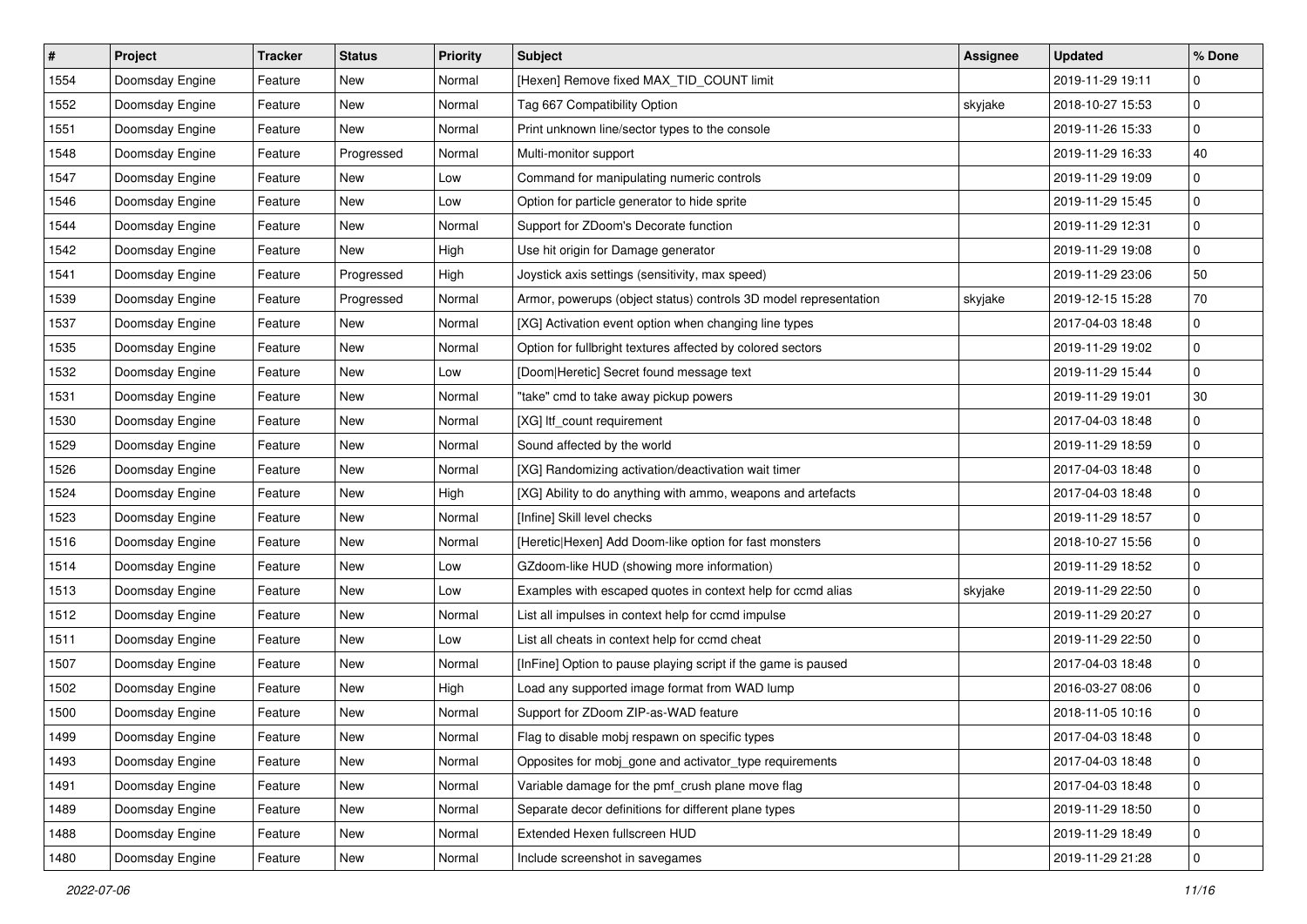| #    | Project         | <b>Tracker</b> | <b>Status</b> | <b>Priority</b> | <b>Subject</b>                                                   | <b>Assignee</b> | <b>Updated</b>   | % Done      |
|------|-----------------|----------------|---------------|-----------------|------------------------------------------------------------------|-----------------|------------------|-------------|
| 1554 | Doomsday Engine | Feature        | New           | Normal          | [Hexen] Remove fixed MAX_TID_COUNT limit                         |                 | 2019-11-29 19:11 | $\mathbf 0$ |
| 1552 | Doomsday Engine | Feature        | New           | Normal          | Tag 667 Compatibility Option                                     | skyjake         | 2018-10-27 15:53 | $\mathbf 0$ |
| 1551 | Doomsday Engine | Feature        | New           | Normal          | Print unknown line/sector types to the console                   |                 | 2019-11-26 15:33 | 0           |
| 1548 | Doomsday Engine | Feature        | Progressed    | Normal          | Multi-monitor support                                            |                 | 2019-11-29 16:33 | 40          |
| 1547 | Doomsday Engine | Feature        | New           | Low             | Command for manipulating numeric controls                        |                 | 2019-11-29 19:09 | $\mathbf 0$ |
| 1546 | Doomsday Engine | Feature        | New           | Low             | Option for particle generator to hide sprite                     |                 | 2019-11-29 15:45 | $\mathbf 0$ |
| 1544 | Doomsday Engine | Feature        | New           | Normal          | Support for ZDoom's Decorate function                            |                 | 2019-11-29 12:31 | $\mathbf 0$ |
| 1542 | Doomsday Engine | Feature        | New           | High            | Use hit origin for Damage generator                              |                 | 2019-11-29 19:08 | $\mathbf 0$ |
| 1541 | Doomsday Engine | Feature        | Progressed    | High            | Joystick axis settings (sensitivity, max speed)                  |                 | 2019-11-29 23:06 | 50          |
| 1539 | Doomsday Engine | Feature        | Progressed    | Normal          | Armor, powerups (object status) controls 3D model representation | skyjake         | 2019-12-15 15:28 | 70          |
| 1537 | Doomsday Engine | Feature        | New           | Normal          | [XG] Activation event option when changing line types            |                 | 2017-04-03 18:48 | 0           |
| 1535 | Doomsday Engine | Feature        | New           | Normal          | Option for fullbright textures affected by colored sectors       |                 | 2019-11-29 19:02 | $\mathbf 0$ |
| 1532 | Doomsday Engine | Feature        | New           | Low             | [Doom Heretic] Secret found message text                         |                 | 2019-11-29 15:44 | 0           |
| 1531 | Doomsday Engine | Feature        | New           | Normal          | "take" cmd to take away pickup powers                            |                 | 2019-11-29 19:01 | $30\,$      |
| 1530 | Doomsday Engine | Feature        | New           | Normal          | [XG] Itf_count requirement                                       |                 | 2017-04-03 18:48 | 0           |
| 1529 | Doomsday Engine | Feature        | New           | Normal          | Sound affected by the world                                      |                 | 2019-11-29 18:59 | 0           |
| 1526 | Doomsday Engine | Feature        | New           | Normal          | [XG] Randomizing activation/deactivation wait timer              |                 | 2017-04-03 18:48 | $\mathbf 0$ |
| 1524 | Doomsday Engine | Feature        | New           | High            | [XG] Ability to do anything with ammo, weapons and artefacts     |                 | 2017-04-03 18:48 | 0           |
| 1523 | Doomsday Engine | Feature        | New           | Normal          | [Infine] Skill level checks                                      |                 | 2019-11-29 18:57 | $\mathbf 0$ |
| 1516 | Doomsday Engine | Feature        | New           | Normal          | [Heretic Hexen] Add Doom-like option for fast monsters           |                 | 2018-10-27 15:56 | $\mathbf 0$ |
| 1514 | Doomsday Engine | Feature        | New           | Low             | GZdoom-like HUD (showing more information)                       |                 | 2019-11-29 18:52 | $\mathbf 0$ |
| 1513 | Doomsday Engine | Feature        | New           | Low             | Examples with escaped quotes in context help for ccmd alias      | skyjake         | 2019-11-29 22:50 | $\mathbf 0$ |
| 1512 | Doomsday Engine | Feature        | New           | Normal          | List all impulses in context help for ccmd impulse               |                 | 2019-11-29 20:27 | $\mathbf 0$ |
| 1511 | Doomsday Engine | Feature        | New           | Low             | List all cheats in context help for ccmd cheat                   |                 | 2019-11-29 22:50 | $\mathbf 0$ |
| 1507 | Doomsday Engine | Feature        | New           | Normal          | [InFine] Option to pause playing script if the game is paused    |                 | 2017-04-03 18:48 | $\mathbf 0$ |
| 1502 | Doomsday Engine | Feature        | New           | High            | Load any supported image format from WAD lump                    |                 | 2016-03-27 08:06 | 0           |
| 1500 | Doomsday Engine | Feature        | New           | Normal          | Support for ZDoom ZIP-as-WAD feature                             |                 | 2018-11-05 10:16 | $\mathbf 0$ |
| 1499 | Doomsday Engine | Feature        | New           | Normal          | Flag to disable mobj respawn on specific types                   |                 | 2017-04-03 18:48 | $\mathbf 0$ |
| 1493 | Doomsday Engine | Feature        | New           | Normal          | Opposites for mobj_gone and activator_type requirements          |                 | 2017-04-03 18:48 | $\mathbf 0$ |
| 1491 | Doomsday Engine | Feature        | New           | Normal          | Variable damage for the pmf_crush plane move flag                |                 | 2017-04-03 18:48 | $\mathbf 0$ |
| 1489 | Doomsday Engine | Feature        | New           | Normal          | Separate decor definitions for different plane types             |                 | 2019-11-29 18:50 | 0           |
| 1488 | Doomsday Engine | Feature        | New           | Normal          | Extended Hexen fullscreen HUD                                    |                 | 2019-11-29 18:49 | 0           |
| 1480 | Doomsday Engine | Feature        | New           | Normal          | Include screenshot in savegames                                  |                 | 2019-11-29 21:28 | $\pmb{0}$   |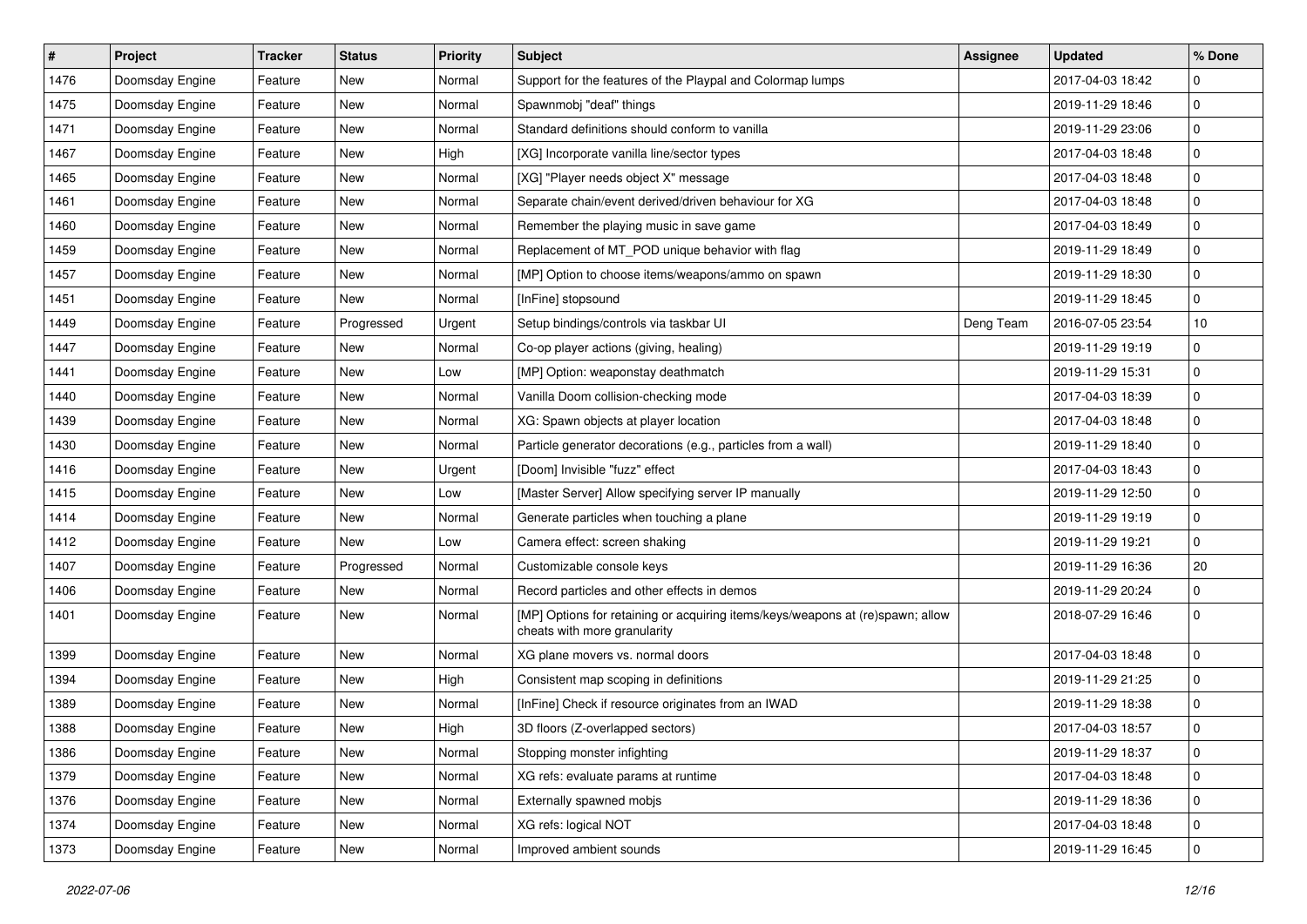| #    | Project         | <b>Tracker</b> | <b>Status</b> | <b>Priority</b> | <b>Subject</b>                                                                                                 | <b>Assignee</b> | <b>Updated</b>   | % Done      |
|------|-----------------|----------------|---------------|-----------------|----------------------------------------------------------------------------------------------------------------|-----------------|------------------|-------------|
| 1476 | Doomsday Engine | Feature        | New           | Normal          | Support for the features of the Playpal and Colormap lumps                                                     |                 | 2017-04-03 18:42 | $\mathbf 0$ |
| 1475 | Doomsday Engine | Feature        | New           | Normal          | Spawnmobj "deaf" things                                                                                        |                 | 2019-11-29 18:46 | $\mathbf 0$ |
| 1471 | Doomsday Engine | Feature        | New           | Normal          | Standard definitions should conform to vanilla                                                                 |                 | 2019-11-29 23:06 | $\mathbf 0$ |
| 1467 | Doomsday Engine | Feature        | New           | High            | [XG] Incorporate vanilla line/sector types                                                                     |                 | 2017-04-03 18:48 | $\mathbf 0$ |
| 1465 | Doomsday Engine | Feature        | New           | Normal          | [XG] "Player needs object X" message                                                                           |                 | 2017-04-03 18:48 | $\mathbf 0$ |
| 1461 | Doomsday Engine | Feature        | New           | Normal          | Separate chain/event derived/driven behaviour for XG                                                           |                 | 2017-04-03 18:48 | $\mathbf 0$ |
| 1460 | Doomsday Engine | Feature        | <b>New</b>    | Normal          | Remember the playing music in save game                                                                        |                 | 2017-04-03 18:49 | $\mathbf 0$ |
| 1459 | Doomsday Engine | Feature        | New           | Normal          | Replacement of MT_POD unique behavior with flag                                                                |                 | 2019-11-29 18:49 | $\mathbf 0$ |
| 1457 | Doomsday Engine | Feature        | New           | Normal          | [MP] Option to choose items/weapons/ammo on spawn                                                              |                 | 2019-11-29 18:30 | $\pmb{0}$   |
| 1451 | Doomsday Engine | Feature        | New           | Normal          | [InFine] stopsound                                                                                             |                 | 2019-11-29 18:45 | $\mathbf 0$ |
| 1449 | Doomsday Engine | Feature        | Progressed    | Urgent          | Setup bindings/controls via taskbar UI                                                                         | Deng Team       | 2016-07-05 23:54 | 10          |
| 1447 | Doomsday Engine | Feature        | <b>New</b>    | Normal          | Co-op player actions (giving, healing)                                                                         |                 | 2019-11-29 19:19 | $\pmb{0}$   |
| 1441 | Doomsday Engine | Feature        | New           | Low             | [MP] Option: weaponstay deathmatch                                                                             |                 | 2019-11-29 15:31 | $\mathbf 0$ |
| 1440 | Doomsday Engine | Feature        | New           | Normal          | Vanilla Doom collision-checking mode                                                                           |                 | 2017-04-03 18:39 | $\mathbf 0$ |
| 1439 | Doomsday Engine | Feature        | New           | Normal          | XG: Spawn objects at player location                                                                           |                 | 2017-04-03 18:48 | $\mathbf 0$ |
| 1430 | Doomsday Engine | Feature        | New           | Normal          | Particle generator decorations (e.g., particles from a wall)                                                   |                 | 2019-11-29 18:40 | $\mathbf 0$ |
| 1416 | Doomsday Engine | Feature        | New           | Urgent          | [Doom] Invisible "fuzz" effect                                                                                 |                 | 2017-04-03 18:43 | $\pmb{0}$   |
| 1415 | Doomsday Engine | Feature        | New           | Low             | [Master Server] Allow specifying server IP manually                                                            |                 | 2019-11-29 12:50 | $\mathbf 0$ |
| 1414 | Doomsday Engine | Feature        | New           | Normal          | Generate particles when touching a plane                                                                       |                 | 2019-11-29 19:19 | $\mathbf 0$ |
| 1412 | Doomsday Engine | Feature        | New           | Low             | Camera effect: screen shaking                                                                                  |                 | 2019-11-29 19:21 | $\mathbf 0$ |
| 1407 | Doomsday Engine | Feature        | Progressed    | Normal          | Customizable console keys                                                                                      |                 | 2019-11-29 16:36 | 20          |
| 1406 | Doomsday Engine | Feature        | New           | Normal          | Record particles and other effects in demos                                                                    |                 | 2019-11-29 20:24 | $\mathbf 0$ |
| 1401 | Doomsday Engine | Feature        | New           | Normal          | [MP] Options for retaining or acquiring items/keys/weapons at (re)spawn; allow<br>cheats with more granularity |                 | 2018-07-29 16:46 | $\mathbf 0$ |
| 1399 | Doomsday Engine | Feature        | <b>New</b>    | Normal          | XG plane movers vs. normal doors                                                                               |                 | 2017-04-03 18:48 | $\pmb{0}$   |
| 1394 | Doomsday Engine | Feature        | New           | High            | Consistent map scoping in definitions                                                                          |                 | 2019-11-29 21:25 | $\mathbf 0$ |
| 1389 | Doomsday Engine | Feature        | New           | Normal          | [InFine] Check if resource originates from an IWAD                                                             |                 | 2019-11-29 18:38 | $\mathbf 0$ |
| 1388 | Doomsday Engine | Feature        | New           | High            | 3D floors (Z-overlapped sectors)                                                                               |                 | 2017-04-03 18:57 | $\mathbf 0$ |
| 1386 | Doomsday Engine | Feature        | New           | Normal          | Stopping monster infighting                                                                                    |                 | 2019-11-29 18:37 | 0           |
| 1379 | Doomsday Engine | Feature        | New           | Normal          | XG refs: evaluate params at runtime                                                                            |                 | 2017-04-03 18:48 | $\mathbf 0$ |
| 1376 | Doomsday Engine | Feature        | New           | Normal          | Externally spawned mobjs                                                                                       |                 | 2019-11-29 18:36 | $\mathbf 0$ |
| 1374 | Doomsday Engine | Feature        | New           | Normal          | XG refs: logical NOT                                                                                           |                 | 2017-04-03 18:48 | $\mathbf 0$ |
| 1373 | Doomsday Engine | Feature        | New           | Normal          | Improved ambient sounds                                                                                        |                 | 2019-11-29 16:45 | $\mathbf 0$ |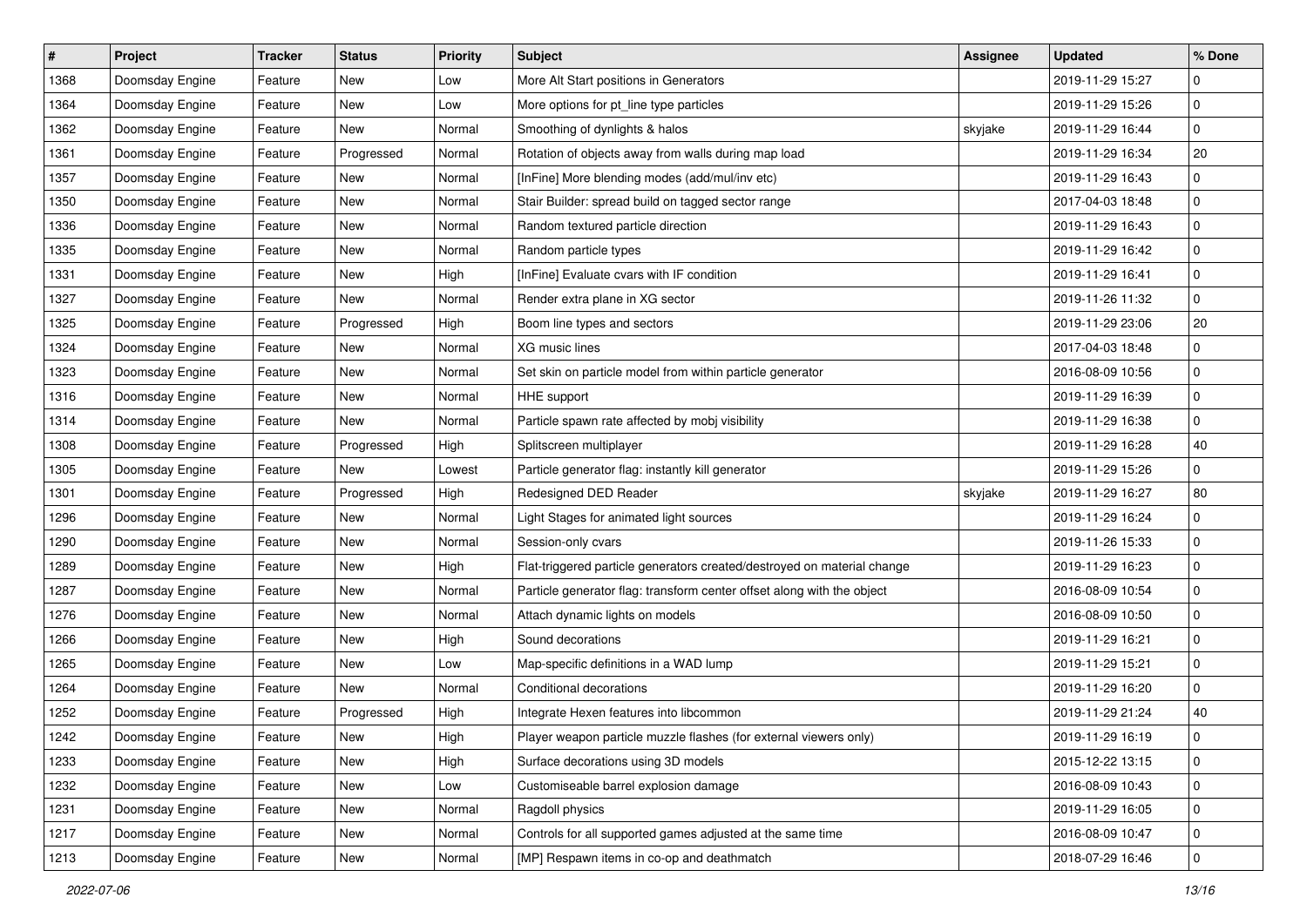| #    | Project         | <b>Tracker</b> | <b>Status</b> | <b>Priority</b> | Subject                                                                 | <b>Assignee</b> | <b>Updated</b>   | % Done      |
|------|-----------------|----------------|---------------|-----------------|-------------------------------------------------------------------------|-----------------|------------------|-------------|
| 1368 | Doomsday Engine | Feature        | New           | Low             | More Alt Start positions in Generators                                  |                 | 2019-11-29 15:27 | $\mathbf 0$ |
| 1364 | Doomsday Engine | Feature        | <b>New</b>    | Low             | More options for pt_line type particles                                 |                 | 2019-11-29 15:26 | $\pmb{0}$   |
| 1362 | Doomsday Engine | Feature        | New           | Normal          | Smoothing of dynlights & halos                                          | skyjake         | 2019-11-29 16:44 | 0           |
| 1361 | Doomsday Engine | Feature        | Progressed    | Normal          | Rotation of objects away from walls during map load                     |                 | 2019-11-29 16:34 | 20          |
| 1357 | Doomsday Engine | Feature        | New           | Normal          | [InFine] More blending modes (add/mul/inv etc)                          |                 | 2019-11-29 16:43 | 0           |
| 1350 | Doomsday Engine | Feature        | New           | Normal          | Stair Builder: spread build on tagged sector range                      |                 | 2017-04-03 18:48 | 0           |
| 1336 | Doomsday Engine | Feature        | New           | Normal          | Random textured particle direction                                      |                 | 2019-11-29 16:43 | $\mathbf 0$ |
| 1335 | Doomsday Engine | Feature        | New           | Normal          | Random particle types                                                   |                 | 2019-11-29 16:42 | 0           |
| 1331 | Doomsday Engine | Feature        | New           | High            | [InFine] Evaluate cvars with IF condition                               |                 | 2019-11-29 16:41 | $\pmb{0}$   |
| 1327 | Doomsday Engine | Feature        | New           | Normal          | Render extra plane in XG sector                                         |                 | 2019-11-26 11:32 | 0           |
| 1325 | Doomsday Engine | Feature        | Progressed    | High            | Boom line types and sectors                                             |                 | 2019-11-29 23:06 | 20          |
| 1324 | Doomsday Engine | Feature        | <b>New</b>    | Normal          | XG music lines                                                          |                 | 2017-04-03 18:48 | $\mathbf 0$ |
| 1323 | Doomsday Engine | Feature        | New           | Normal          | Set skin on particle model from within particle generator               |                 | 2016-08-09 10:56 | 0           |
| 1316 | Doomsday Engine | Feature        | New           | Normal          | HHE support                                                             |                 | 2019-11-29 16:39 | 0           |
| 1314 | Doomsday Engine | Feature        | New           | Normal          | Particle spawn rate affected by mobj visibility                         |                 | 2019-11-29 16:38 | 0           |
| 1308 | Doomsday Engine | Feature        | Progressed    | High            | Splitscreen multiplayer                                                 |                 | 2019-11-29 16:28 | 40          |
| 1305 | Doomsday Engine | Feature        | New           | Lowest          | Particle generator flag: instantly kill generator                       |                 | 2019-11-29 15:26 | $\pmb{0}$   |
| 1301 | Doomsday Engine | Feature        | Progressed    | High            | Redesigned DED Reader                                                   | skyjake         | 2019-11-29 16:27 | 80          |
| 1296 | Doomsday Engine | Feature        | New           | Normal          | Light Stages for animated light sources                                 |                 | 2019-11-29 16:24 | 0           |
| 1290 | Doomsday Engine | Feature        | New           | Normal          | Session-only cvars                                                      |                 | 2019-11-26 15:33 | 0           |
| 1289 | Doomsday Engine | Feature        | New           | High            | Flat-triggered particle generators created/destroyed on material change |                 | 2019-11-29 16:23 | 0           |
| 1287 | Doomsday Engine | Feature        | New           | Normal          | Particle generator flag: transform center offset along with the object  |                 | 2016-08-09 10:54 | 0           |
| 1276 | Doomsday Engine | Feature        | New           | Normal          | Attach dynamic lights on models                                         |                 | 2016-08-09 10:50 | 0           |
| 1266 | Doomsday Engine | Feature        | New           | High            | Sound decorations                                                       |                 | 2019-11-29 16:21 | 0           |
| 1265 | Doomsday Engine | Feature        | New           | Low             | Map-specific definitions in a WAD lump                                  |                 | 2019-11-29 15:21 | $\mathbf 0$ |
| 1264 | Doomsday Engine | Feature        | New           | Normal          | Conditional decorations                                                 |                 | 2019-11-29 16:20 | 0           |
| 1252 | Doomsday Engine | Feature        | Progressed    | High            | Integrate Hexen features into libcommon                                 |                 | 2019-11-29 21:24 | 40          |
| 1242 | Doomsday Engine | Feature        | New           | High            | Player weapon particle muzzle flashes (for external viewers only)       |                 | 2019-11-29 16:19 | 0           |
| 1233 | Doomsday Engine | Feature        | New           | High            | Surface decorations using 3D models                                     |                 | 2015-12-22 13:15 | $\mathbf 0$ |
| 1232 | Doomsday Engine | Feature        | New           | Low             | Customiseable barrel explosion damage                                   |                 | 2016-08-09 10:43 | $\mathbf 0$ |
| 1231 | Doomsday Engine | Feature        | New           | Normal          | Ragdoll physics                                                         |                 | 2019-11-29 16:05 | 0           |
| 1217 | Doomsday Engine | Feature        | New           | Normal          | Controls for all supported games adjusted at the same time              |                 | 2016-08-09 10:47 | 0           |
| 1213 | Doomsday Engine | Feature        | New           | Normal          | [MP] Respawn items in co-op and deathmatch                              |                 | 2018-07-29 16:46 | $\pmb{0}$   |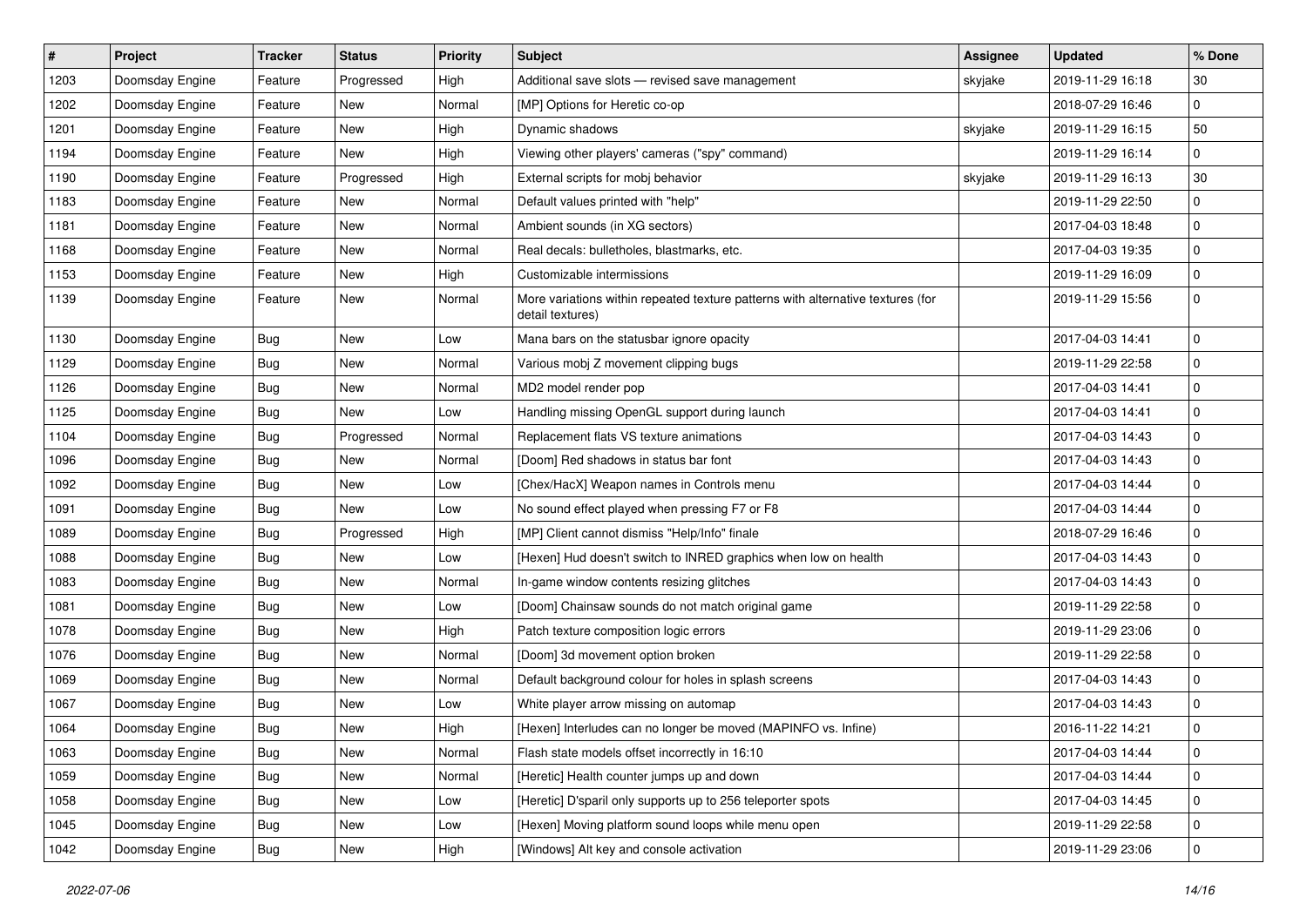| $\sharp$ | Project         | <b>Tracker</b> | <b>Status</b> | <b>Priority</b> | <b>Subject</b>                                                                                      | <b>Assignee</b> | <b>Updated</b>   | % Done      |
|----------|-----------------|----------------|---------------|-----------------|-----------------------------------------------------------------------------------------------------|-----------------|------------------|-------------|
| 1203     | Doomsday Engine | Feature        | Progressed    | High            | Additional save slots - revised save management                                                     | skyjake         | 2019-11-29 16:18 | 30          |
| 1202     | Doomsday Engine | Feature        | New           | Normal          | [MP] Options for Heretic co-op                                                                      |                 | 2018-07-29 16:46 | $\mathbf 0$ |
| 1201     | Doomsday Engine | Feature        | New           | High            | Dynamic shadows                                                                                     | skyjake         | 2019-11-29 16:15 | 50          |
| 1194     | Doomsday Engine | Feature        | New           | High            | Viewing other players' cameras ("spy" command)                                                      |                 | 2019-11-29 16:14 | $\mathbf 0$ |
| 1190     | Doomsday Engine | Feature        | Progressed    | High            | External scripts for mobj behavior                                                                  | skyjake         | 2019-11-29 16:13 | 30          |
| 1183     | Doomsday Engine | Feature        | New           | Normal          | Default values printed with "help"                                                                  |                 | 2019-11-29 22:50 | $\mathbf 0$ |
| 1181     | Doomsday Engine | Feature        | New           | Normal          | Ambient sounds (in XG sectors)                                                                      |                 | 2017-04-03 18:48 | $\mathbf 0$ |
| 1168     | Doomsday Engine | Feature        | New           | Normal          | Real decals: bulletholes, blastmarks, etc.                                                          |                 | 2017-04-03 19:35 | $\mathbf 0$ |
| 1153     | Doomsday Engine | Feature        | New           | High            | Customizable intermissions                                                                          |                 | 2019-11-29 16:09 | $\pmb{0}$   |
| 1139     | Doomsday Engine | Feature        | New           | Normal          | More variations within repeated texture patterns with alternative textures (for<br>detail textures) |                 | 2019-11-29 15:56 | $\mathbf 0$ |
| 1130     | Doomsday Engine | Bug            | New           | Low             | Mana bars on the statusbar ignore opacity                                                           |                 | 2017-04-03 14:41 | $\mathbf 0$ |
| 1129     | Doomsday Engine | Bug            | New           | Normal          | Various mobj Z movement clipping bugs                                                               |                 | 2019-11-29 22:58 | $\mathbf 0$ |
| 1126     | Doomsday Engine | <b>Bug</b>     | New           | Normal          | MD2 model render pop                                                                                |                 | 2017-04-03 14:41 | $\mathbf 0$ |
| 1125     | Doomsday Engine | <b>Bug</b>     | New           | Low             | Handling missing OpenGL support during launch                                                       |                 | 2017-04-03 14:41 | $\mathbf 0$ |
| 1104     | Doomsday Engine | <b>Bug</b>     | Progressed    | Normal          | Replacement flats VS texture animations                                                             |                 | 2017-04-03 14:43 | $\mathbf 0$ |
| 1096     | Doomsday Engine | <b>Bug</b>     | New           | Normal          | [Doom] Red shadows in status bar font                                                               |                 | 2017-04-03 14:43 | $\mathbf 0$ |
| 1092     | Doomsday Engine | Bug            | New           | Low             | [Chex/HacX] Weapon names in Controls menu                                                           |                 | 2017-04-03 14:44 | $\mathbf 0$ |
| 1091     | Doomsday Engine | <b>Bug</b>     | New           | Low             | No sound effect played when pressing F7 or F8                                                       |                 | 2017-04-03 14:44 | $\mathbf 0$ |
| 1089     | Doomsday Engine | <b>Bug</b>     | Progressed    | High            | [MP] Client cannot dismiss "Help/Info" finale                                                       |                 | 2018-07-29 16:46 | $\mathbf 0$ |
| 1088     | Doomsday Engine | Bug            | New           | Low             | [Hexen] Hud doesn't switch to INRED graphics when low on health                                     |                 | 2017-04-03 14:43 | $\mathbf 0$ |
| 1083     | Doomsday Engine | <b>Bug</b>     | New           | Normal          | In-game window contents resizing glitches                                                           |                 | 2017-04-03 14:43 | $\mathbf 0$ |
| 1081     | Doomsday Engine | Bug            | <b>New</b>    | Low             | [Doom] Chainsaw sounds do not match original game                                                   |                 | 2019-11-29 22:58 | $\mathbf 0$ |
| 1078     | Doomsday Engine | Bug            | New           | High            | Patch texture composition logic errors                                                              |                 | 2019-11-29 23:06 | $\mathbf 0$ |
| 1076     | Doomsday Engine | Bug            | New           | Normal          | [Doom] 3d movement option broken                                                                    |                 | 2019-11-29 22:58 | $\pmb{0}$   |
| 1069     | Doomsday Engine | Bug            | New           | Normal          | Default background colour for holes in splash screens                                               |                 | 2017-04-03 14:43 | $\mathbf 0$ |
| 1067     | Doomsday Engine | <b>Bug</b>     | New           | Low             | White player arrow missing on automap                                                               |                 | 2017-04-03 14:43 | $\mathbf 0$ |
| 1064     | Doomsday Engine | <b>Bug</b>     | New           | High            | [Hexen] Interludes can no longer be moved (MAPINFO vs. Infine)                                      |                 | 2016-11-22 14:21 | $\mathbf 0$ |
| 1063     | Doomsday Engine | <b>Bug</b>     | New           | Normal          | Flash state models offset incorrectly in 16:10                                                      |                 | 2017-04-03 14:44 | $\pmb{0}$   |
| 1059     | Doomsday Engine | <b>Bug</b>     | New           | Normal          | [Heretic] Health counter jumps up and down                                                          |                 | 2017-04-03 14:44 | $\pmb{0}$   |
| 1058     | Doomsday Engine | <b>Bug</b>     | New           | Low             | [Heretic] D'sparil only supports up to 256 teleporter spots                                         |                 | 2017-04-03 14:45 | $\pmb{0}$   |
| 1045     | Doomsday Engine | <b>Bug</b>     | New           | Low             | [Hexen] Moving platform sound loops while menu open                                                 |                 | 2019-11-29 22:58 | $\pmb{0}$   |
| 1042     | Doomsday Engine | <b>Bug</b>     | New           | High            | [Windows] Alt key and console activation                                                            |                 | 2019-11-29 23:06 | $\pmb{0}$   |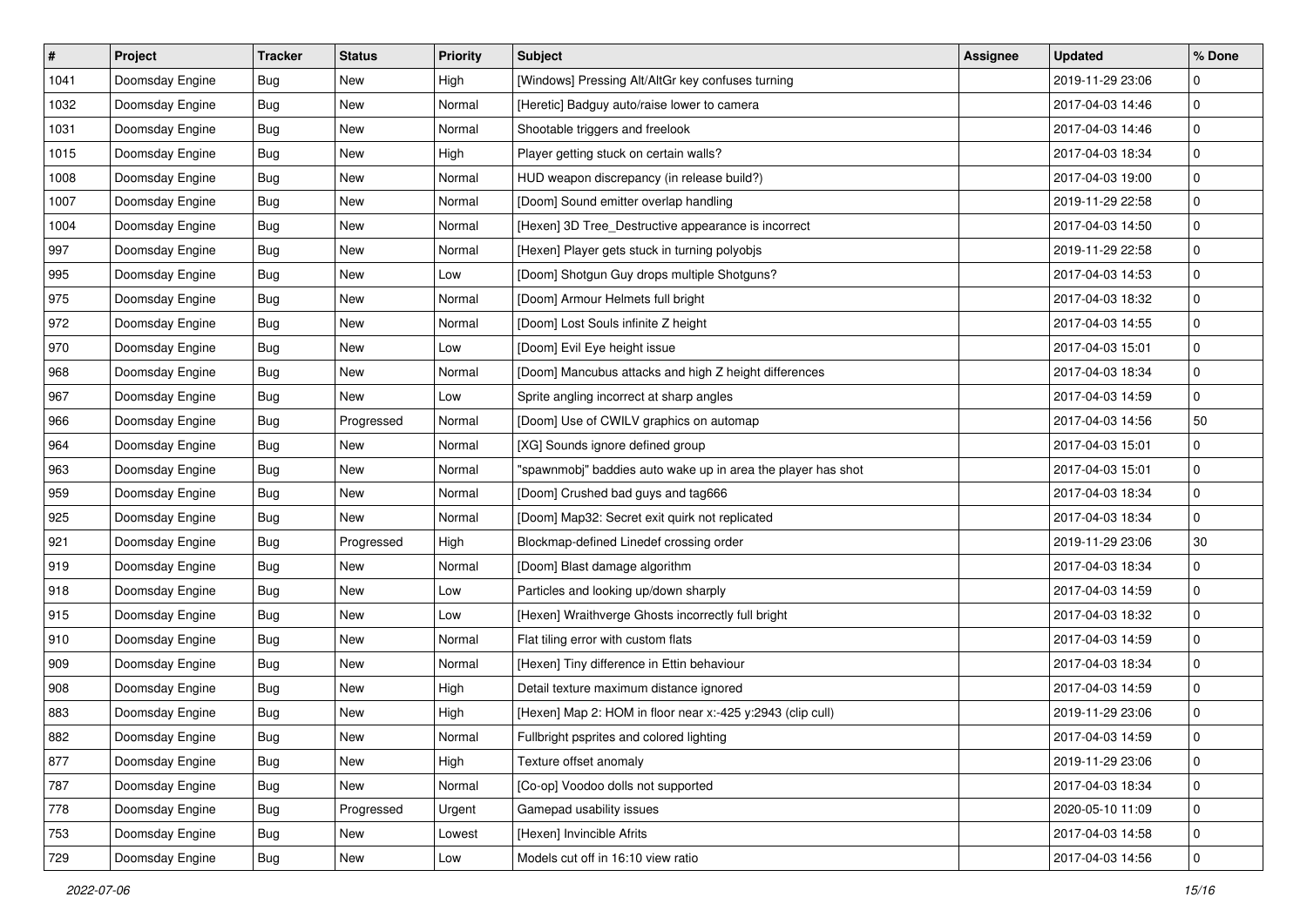| $\sharp$ | Project         | <b>Tracker</b> | <b>Status</b> | <b>Priority</b> | <b>Subject</b>                                               | <b>Assignee</b> | <b>Updated</b>   | % Done      |
|----------|-----------------|----------------|---------------|-----------------|--------------------------------------------------------------|-----------------|------------------|-------------|
| 1041     | Doomsday Engine | Bug            | New           | High            | [Windows] Pressing Alt/AltGr key confuses turning            |                 | 2019-11-29 23:06 | 0           |
| 1032     | Doomsday Engine | Bug            | New           | Normal          | [Heretic] Badguy auto/raise lower to camera                  |                 | 2017-04-03 14:46 | $\mathbf 0$ |
| 1031     | Doomsday Engine | <b>Bug</b>     | New           | Normal          | Shootable triggers and freelook                              |                 | 2017-04-03 14:46 | $\mathbf 0$ |
| 1015     | Doomsday Engine | Bug            | New           | High            | Player getting stuck on certain walls?                       |                 | 2017-04-03 18:34 | $\pmb{0}$   |
| 1008     | Doomsday Engine | <b>Bug</b>     | New           | Normal          | HUD weapon discrepancy (in release build?)                   |                 | 2017-04-03 19:00 | $\mathbf 0$ |
| 1007     | Doomsday Engine | <b>Bug</b>     | New           | Normal          | [Doom] Sound emitter overlap handling                        |                 | 2019-11-29 22:58 | $\mathbf 0$ |
| 1004     | Doomsday Engine | Bug            | New           | Normal          | [Hexen] 3D Tree_Destructive appearance is incorrect          |                 | 2017-04-03 14:50 | $\mathbf 0$ |
| 997      | Doomsday Engine | <b>Bug</b>     | New           | Normal          | [Hexen] Player gets stuck in turning polyobjs                |                 | 2019-11-29 22:58 | $\pmb{0}$   |
| 995      | Doomsday Engine | Bug            | New           | Low             | [Doom] Shotgun Guy drops multiple Shotguns?                  |                 | 2017-04-03 14:53 | $\pmb{0}$   |
| 975      | Doomsday Engine | Bug            | New           | Normal          | [Doom] Armour Helmets full bright                            |                 | 2017-04-03 18:32 | $\mathbf 0$ |
| 972      | Doomsday Engine | <b>Bug</b>     | New           | Normal          | [Doom] Lost Souls infinite Z height                          |                 | 2017-04-03 14:55 | $\mathbf 0$ |
| 970      | Doomsday Engine | <b>Bug</b>     | New           | Low             | [Doom] Evil Eye height issue                                 |                 | 2017-04-03 15:01 | $\pmb{0}$   |
| 968      | Doomsday Engine | Bug            | New           | Normal          | [Doom] Mancubus attacks and high Z height differences        |                 | 2017-04-03 18:34 | $\pmb{0}$   |
| 967      | Doomsday Engine | <b>Bug</b>     | New           | Low             | Sprite angling incorrect at sharp angles                     |                 | 2017-04-03 14:59 | $\mathbf 0$ |
| 966      | Doomsday Engine | Bug            | Progressed    | Normal          | [Doom] Use of CWILV graphics on automap                      |                 | 2017-04-03 14:56 | 50          |
| 964      | Doomsday Engine | <b>Bug</b>     | New           | Normal          | [XG] Sounds ignore defined group                             |                 | 2017-04-03 15:01 | 0           |
| 963      | Doomsday Engine | Bug            | New           | Normal          | "spawnmobj" baddies auto wake up in area the player has shot |                 | 2017-04-03 15:01 | $\pmb{0}$   |
| 959      | Doomsday Engine | Bug            | New           | Normal          | [Doom] Crushed bad guys and tag666                           |                 | 2017-04-03 18:34 | $\pmb{0}$   |
| 925      | Doomsday Engine | <b>Bug</b>     | New           | Normal          | [Doom] Map32: Secret exit quirk not replicated               |                 | 2017-04-03 18:34 | $\mathbf 0$ |
| 921      | Doomsday Engine | <b>Bug</b>     | Progressed    | High            | Blockmap-defined Linedef crossing order                      |                 | 2019-11-29 23:06 | 30          |
| 919      | Doomsday Engine | <b>Bug</b>     | New           | Normal          | [Doom] Blast damage algorithm                                |                 | 2017-04-03 18:34 | $\pmb{0}$   |
| 918      | Doomsday Engine | <b>Bug</b>     | New           | Low             | Particles and looking up/down sharply                        |                 | 2017-04-03 14:59 | $\mathbf 0$ |
| 915      | Doomsday Engine | Bug            | New           | Low             | [Hexen] Wraithverge Ghosts incorrectly full bright           |                 | 2017-04-03 18:32 | $\mathbf 0$ |
| 910      | Doomsday Engine | Bug            | New           | Normal          | Flat tiling error with custom flats                          |                 | 2017-04-03 14:59 | $\mathbf 0$ |
| 909      | Doomsday Engine | <b>Bug</b>     | New           | Normal          | [Hexen] Tiny difference in Ettin behaviour                   |                 | 2017-04-03 18:34 | $\mathbf 0$ |
| 908      | Doomsday Engine | Bug            | New           | High            | Detail texture maximum distance ignored                      |                 | 2017-04-03 14:59 | 0           |
| 883      | Doomsday Engine | <b>Bug</b>     | New           | High            | [Hexen] Map 2: HOM in floor near x:-425 y:2943 (clip cull)   |                 | 2019-11-29 23:06 | $\pmb{0}$   |
| 882      | Doomsday Engine | Bug            | New           | Normal          | Fullbright psprites and colored lighting                     |                 | 2017-04-03 14:59 | $\mathbf 0$ |
| 877      | Doomsday Engine | Bug            | New           | High            | Texture offset anomaly                                       |                 | 2019-11-29 23:06 | 0           |
| 787      | Doomsday Engine | <b>Bug</b>     | New           | Normal          | [Co-op] Voodoo dolls not supported                           |                 | 2017-04-03 18:34 | $\mathsf 0$ |
| 778      | Doomsday Engine | <b>Bug</b>     | Progressed    | Urgent          | Gamepad usability issues                                     |                 | 2020-05-10 11:09 | 0           |
| 753      | Doomsday Engine | Bug            | New           | Lowest          | [Hexen] Invincible Afrits                                    |                 | 2017-04-03 14:58 | 0           |
| 729      | Doomsday Engine | <b>Bug</b>     | New           | Low             | Models cut off in 16:10 view ratio                           |                 | 2017-04-03 14:56 | $\mathbf 0$ |